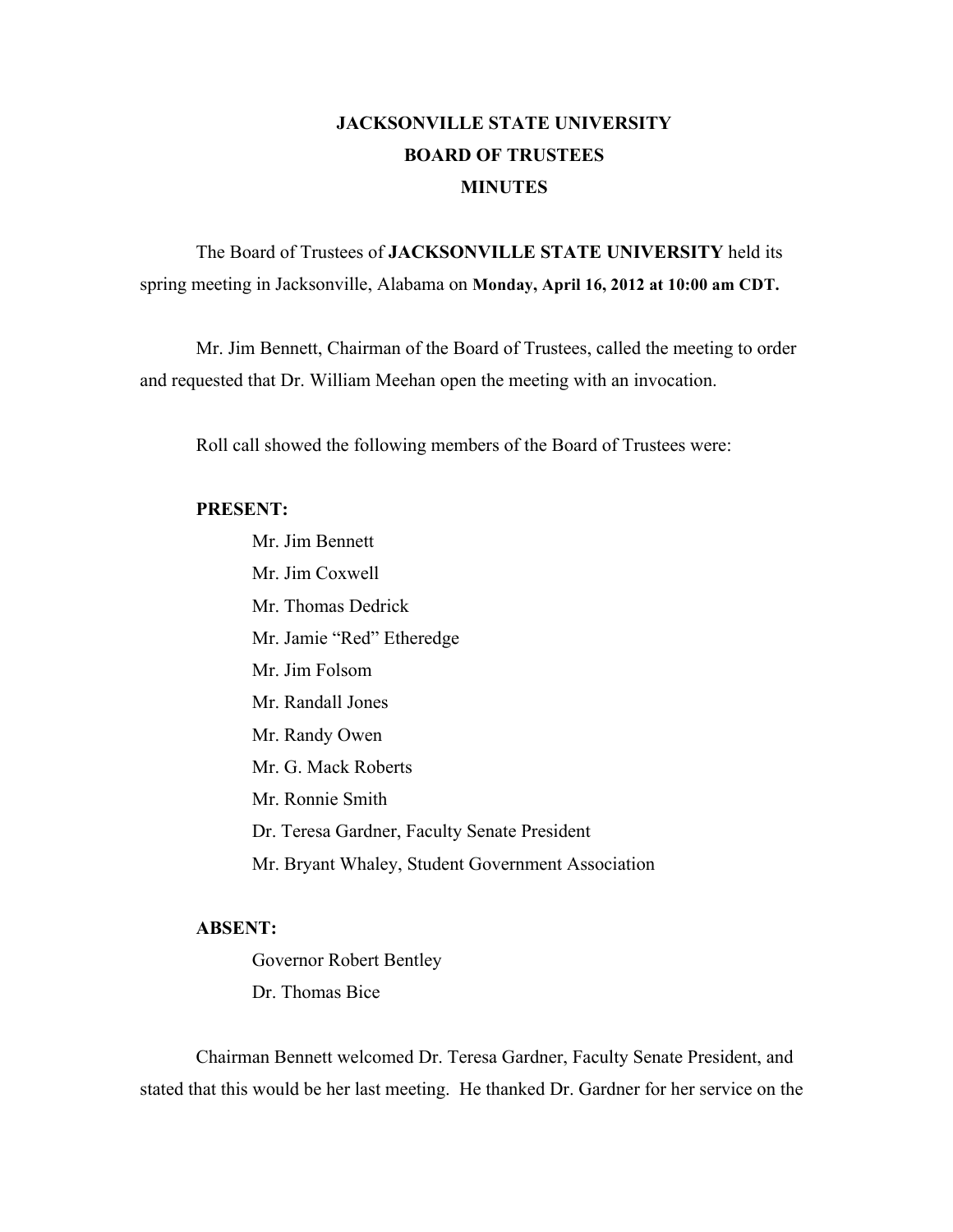## **JACKSONVILLE STATE UNIVERSITY BOARD OF TRUSTEES MINUTES**

The Board of Trustees of **JACKSONVILLE STATE UNIVERSITY** held its spring meeting in Jacksonville, Alabama on **Monday, April 16, 2012 at 10:00 am CDT.**

Mr. Jim Bennett, Chairman of the Board of Trustees, called the meeting to order and requested that Dr. William Meehan open the meeting with an invocation.

Roll call showed the following members of the Board of Trustees were:

#### **PRESENT:**

Mr. Jim Bennett Mr. Jim Coxwell Mr. Thomas Dedrick Mr. Jamie "Red" Etheredge Mr. Jim Folsom Mr. Randall Jones Mr. Randy Owen Mr. G. Mack Roberts Mr. Ronnie Smith Dr. Teresa Gardner, Faculty Senate President Mr. Bryant Whaley, Student Government Association

## **ABSENT:**

Governor Robert Bentley Dr. Thomas Bice

Chairman Bennett welcomed Dr. Teresa Gardner, Faculty Senate President, and stated that this would be her last meeting. He thanked Dr. Gardner for her service on the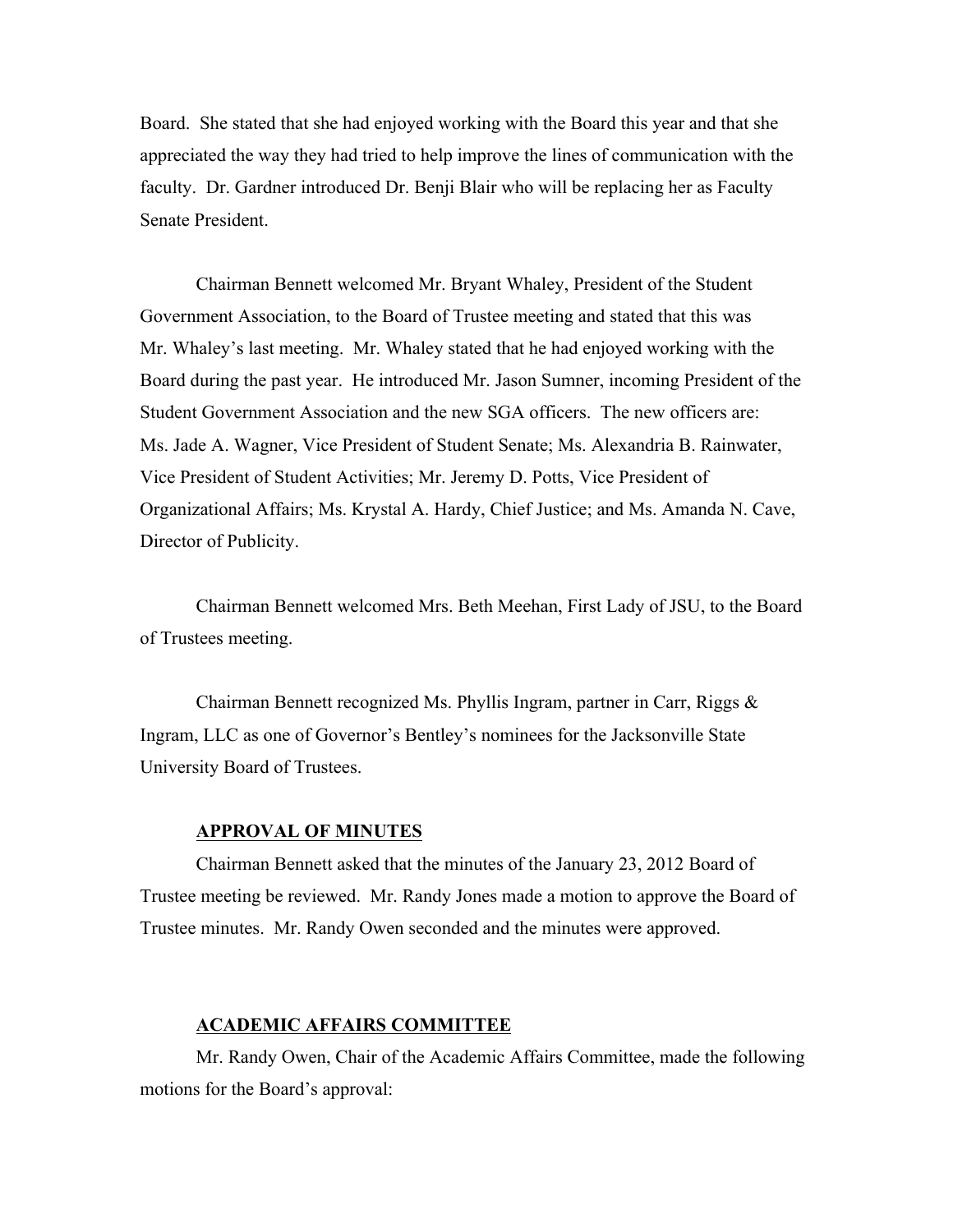Board. She stated that she had enjoyed working with the Board this year and that she appreciated the way they had tried to help improve the lines of communication with the faculty. Dr. Gardner introduced Dr. Benji Blair who will be replacing her as Faculty Senate President.

Chairman Bennett welcomed Mr. Bryant Whaley, President of the Student Government Association, to the Board of Trustee meeting and stated that this was Mr. Whaley's last meeting. Mr. Whaley stated that he had enjoyed working with the Board during the past year. He introduced Mr. Jason Sumner, incoming President of the Student Government Association and the new SGA officers. The new officers are: Ms. Jade A. Wagner, Vice President of Student Senate; Ms. Alexandria B. Rainwater, Vice President of Student Activities; Mr. Jeremy D. Potts, Vice President of Organizational Affairs; Ms. Krystal A. Hardy, Chief Justice; and Ms. Amanda N. Cave, Director of Publicity.

Chairman Bennett welcomed Mrs. Beth Meehan, First Lady of JSU, to the Board of Trustees meeting.

Chairman Bennett recognized Ms. Phyllis Ingram, partner in Carr, Riggs & Ingram, LLC as one of Governor's Bentley's nominees for the Jacksonville State University Board of Trustees.

#### **APPROVAL OF MINUTES**

Chairman Bennett asked that the minutes of the January 23, 2012 Board of Trustee meeting be reviewed. Mr. Randy Jones made a motion to approve the Board of Trustee minutes. Mr. Randy Owen seconded and the minutes were approved.

#### **ACADEMIC AFFAIRS COMMITTEE**

Mr. Randy Owen, Chair of the Academic Affairs Committee, made the following motions for the Board's approval: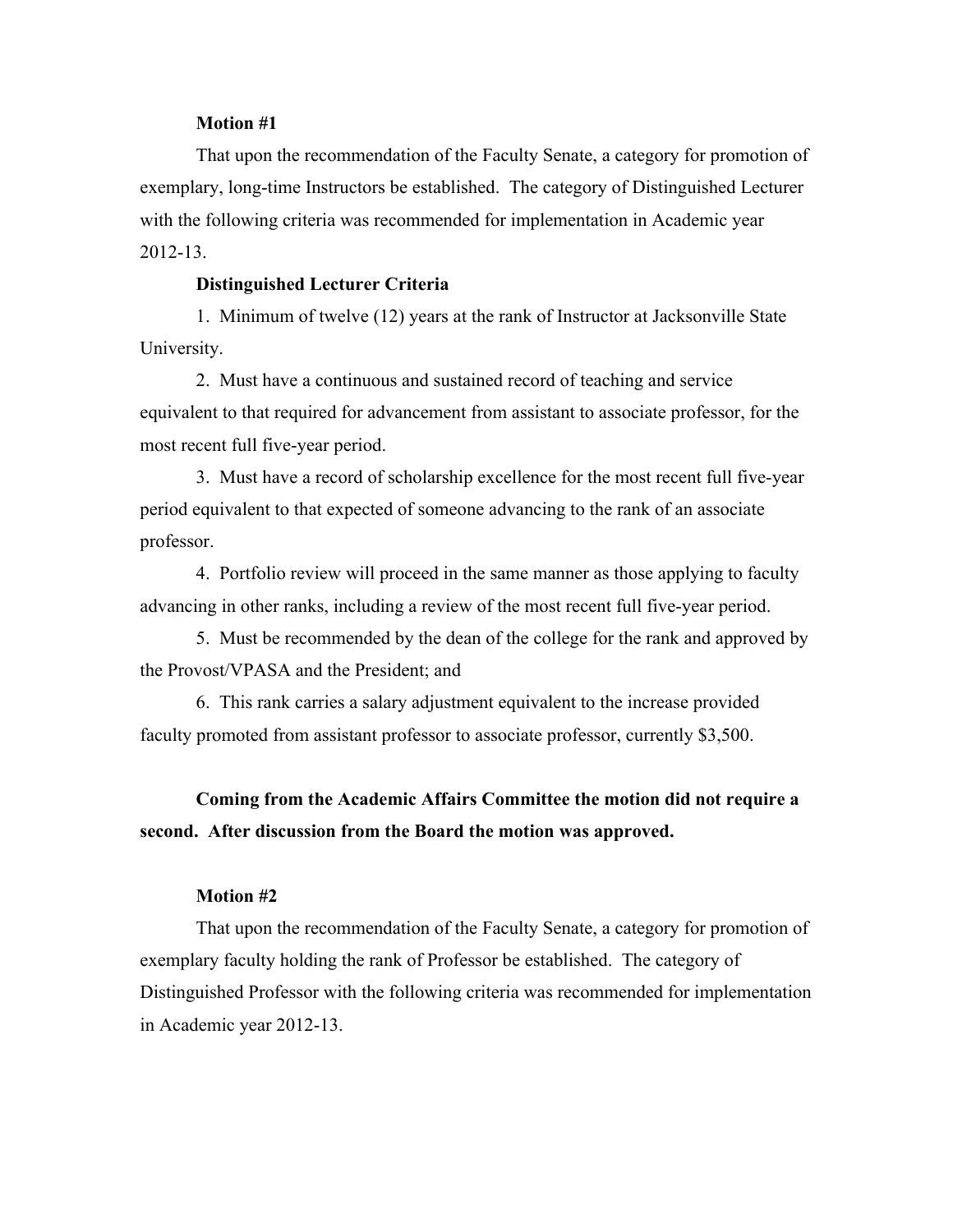#### **Motion #1**

That upon the recommendation of the Faculty Senate, a category for promotion of exemplary, long-time Instructors be established. The category of Distinguished Lecturer with the following criteria was recommended for implementation in Academic year 2012-13.

#### **Distinguished Lecturer Criteria**

1. Minimum of twelve (12) years at the rank of Instructor at Jacksonville State University.

2. Must have a continuous and sustained record of teaching and service equivalent to that required for advancement from assistant to associate professor, for the most recent full five-year period.

3. Must have a record of scholarship excellence for the most recent full five-year period equivalent to that expected of someone advancing to the rank of an associate professor.

4. Portfolio review will proceed in the same manner as those applying to faculty advancing in other ranks, including a review of the most recent full five-year period.

5. Must be recommended by the dean of the college for the rank and approved by the Provost/VPASA and the President; and

6. This rank carries a salary adjustment equivalent to the increase provided faculty promoted from assistant professor to associate professor, currently \$3,500.

## **Coming from the Academic Affairs Committee the motion did not require a second. After discussion from the Board the motion was approved.**

#### **Motion #2**

That upon the recommendation of the Faculty Senate, a category for promotion of exemplary faculty holding the rank of Professor be established. The category of Distinguished Professor with the following criteria was recommended for implementation in Academic year 2012-13.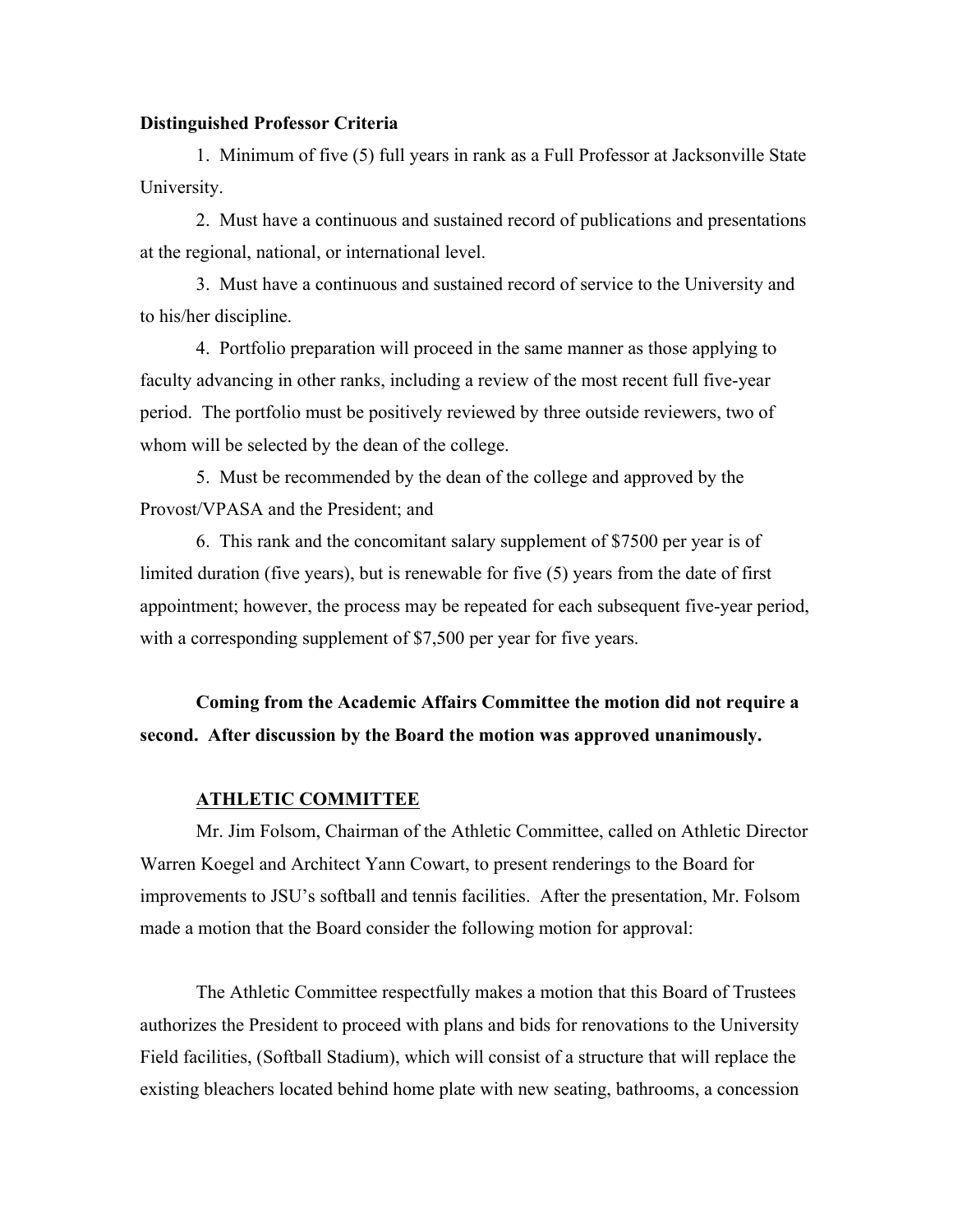#### **Distinguished Professor Criteria**

1. Minimum of five (5) full years in rank as a Full Professor at Jacksonville State University.

2. Must have a continuous and sustained record of publications and presentations at the regional, national, or international level.

3. Must have a continuous and sustained record of service to the University and to his/her discipline.

4. Portfolio preparation will proceed in the same manner as those applying to faculty advancing in other ranks, including a review of the most recent full five-year period. The portfolio must be positively reviewed by three outside reviewers, two of whom will be selected by the dean of the college.

5. Must be recommended by the dean of the college and approved by the Provost/VPASA and the President; and

6. This rank and the concomitant salary supplement of \$7500 per year is of limited duration (five years), but is renewable for five (5) years from the date of first appointment; however, the process may be repeated for each subsequent five-year period, with a corresponding supplement of \$7,500 per year for five years.

**Coming from the Academic Affairs Committee the motion did not require a second. After discussion by the Board the motion was approved unanimously.** 

#### **ATHLETIC COMMITTEE**

Mr. Jim Folsom, Chairman of the Athletic Committee, called on Athletic Director Warren Koegel and Architect Yann Cowart, to present renderings to the Board for improvements to JSU's softball and tennis facilities. After the presentation, Mr. Folsom made a motion that the Board consider the following motion for approval:

The Athletic Committee respectfully makes a motion that this Board of Trustees authorizes the President to proceed with plans and bids for renovations to the University Field facilities, (Softball Stadium), which will consist of a structure that will replace the existing bleachers located behind home plate with new seating, bathrooms, a concession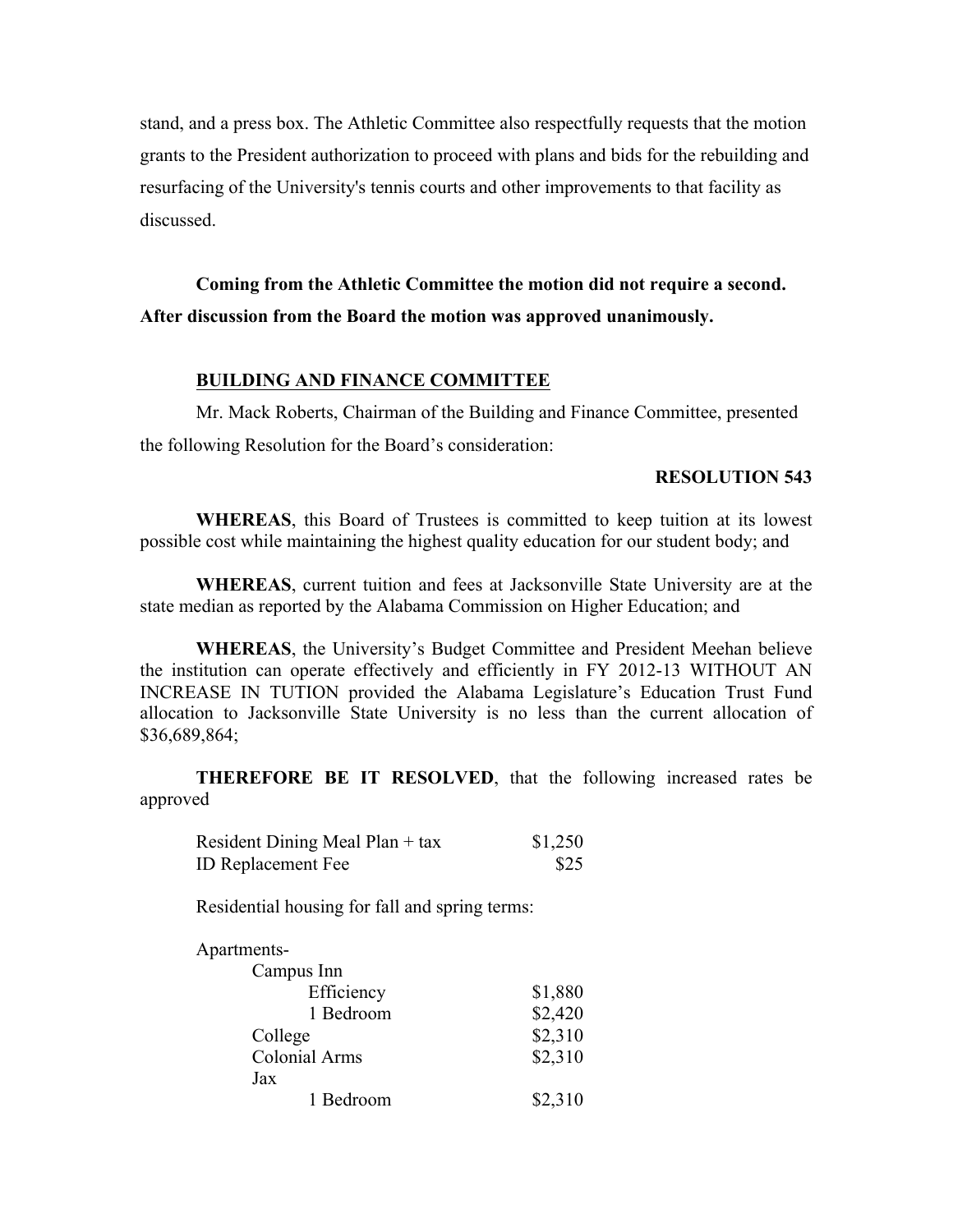stand, and a press box. The Athletic Committee also respectfully requests that the motion grants to the President authorization to proceed with plans and bids for the rebuilding and resurfacing of the University's tennis courts and other improvements to that facility as discussed.

**Coming from the Athletic Committee the motion did not require a second. After discussion from the Board the motion was approved unanimously.** 

#### **BUILDING AND FINANCE COMMITTEE**

Mr. Mack Roberts, Chairman of the Building and Finance Committee, presented the following Resolution for the Board's consideration:

#### **RESOLUTION 543**

**WHEREAS**, this Board of Trustees is committed to keep tuition at its lowest possible cost while maintaining the highest quality education for our student body; and

**WHEREAS**, current tuition and fees at Jacksonville State University are at the state median as reported by the Alabama Commission on Higher Education; and

**WHEREAS**, the University's Budget Committee and President Meehan believe the institution can operate effectively and efficiently in FY 2012-13 WITHOUT AN INCREASE IN TUTION provided the Alabama Legislature's Education Trust Fund allocation to Jacksonville State University is no less than the current allocation of \$36,689,864;

**THEREFORE BE IT RESOLVED**, that the following increased rates be approved

| Resident Dining Meal Plan + tax | \$1,250 |
|---------------------------------|---------|
| <b>ID Replacement Fee</b>       | \$25    |

Residential housing for fall and spring terms:

| Apartments-   |         |
|---------------|---------|
| Campus Inn    |         |
| Efficiency    | \$1,880 |
| 1 Bedroom     | \$2,420 |
| College       | \$2,310 |
| Colonial Arms | \$2,310 |
| Jax           |         |
| 1 Bedroom     | \$2,310 |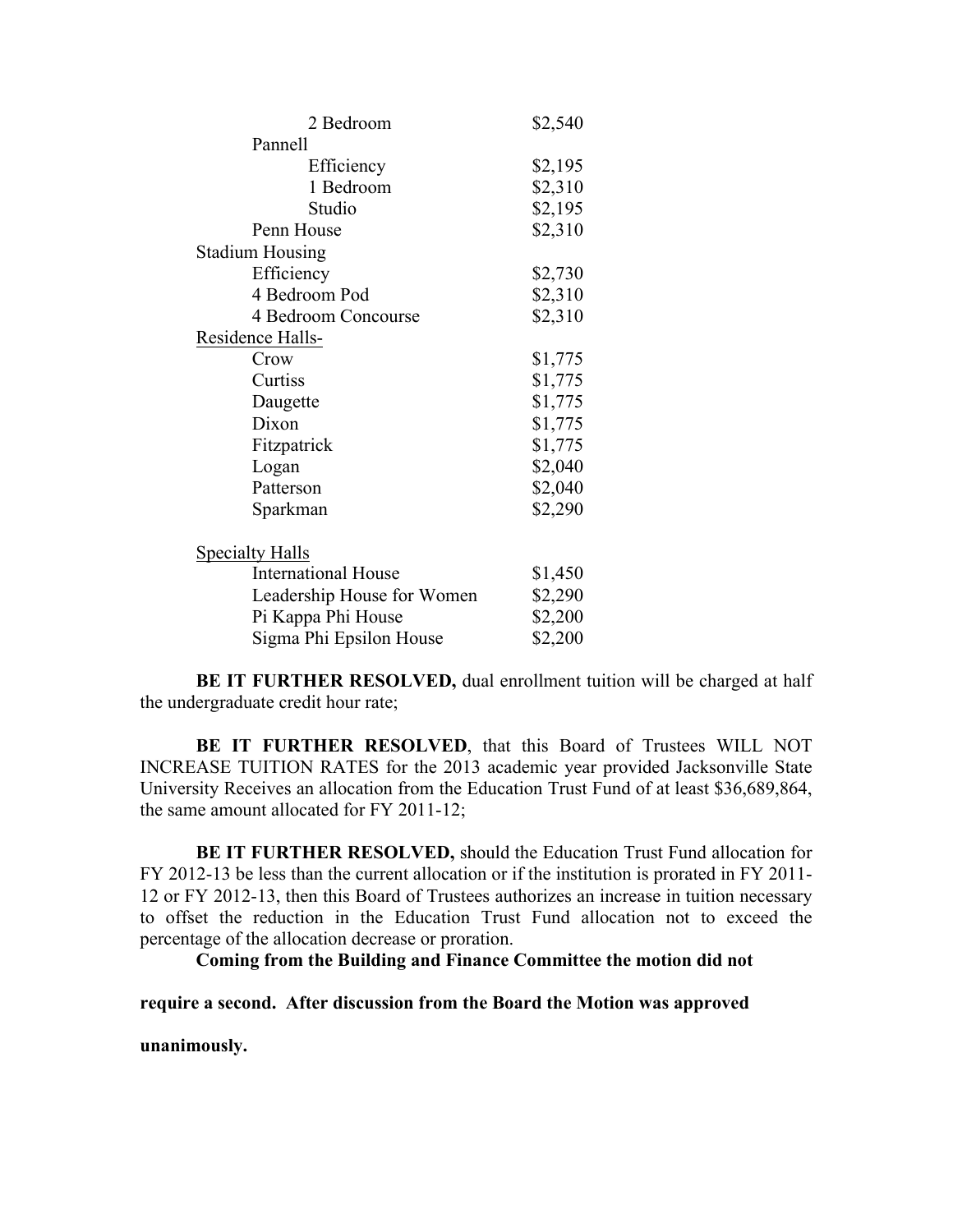| 2 Bedroom                  | \$2,540 |
|----------------------------|---------|
| Pannell                    |         |
| Efficiency                 | \$2,195 |
| 1 Bedroom                  | \$2,310 |
| Studio                     | \$2,195 |
| Penn House                 | \$2,310 |
| <b>Stadium Housing</b>     |         |
| Efficiency                 | \$2,730 |
| 4 Bedroom Pod              | \$2,310 |
| 4 Bedroom Concourse        | \$2,310 |
| Residence Halls-           |         |
| Crow                       | \$1,775 |
| Curtiss                    | \$1,775 |
| Daugette                   | \$1,775 |
| Dixon                      | \$1,775 |
| Fitzpatrick                | \$1,775 |
| Logan                      | \$2,040 |
| Patterson                  | \$2,040 |
| Sparkman                   | \$2,290 |
| <b>Specialty Halls</b>     |         |
| <b>International House</b> | \$1,450 |
| Leadership House for Women | \$2,290 |
| Pi Kappa Phi House         | \$2,200 |
| Sigma Phi Epsilon House    | \$2,200 |

**BE IT FURTHER RESOLVED,** dual enrollment tuition will be charged at half the undergraduate credit hour rate;

**BE IT FURTHER RESOLVED**, that this Board of Trustees WILL NOT INCREASE TUITION RATES for the 2013 academic year provided Jacksonville State University Receives an allocation from the Education Trust Fund of at least \$36,689,864, the same amount allocated for FY 2011-12;

**BE IT FURTHER RESOLVED,** should the Education Trust Fund allocation for FY 2012-13 be less than the current allocation or if the institution is prorated in FY 2011- 12 or FY 2012-13, then this Board of Trustees authorizes an increase in tuition necessary to offset the reduction in the Education Trust Fund allocation not to exceed the percentage of the allocation decrease or proration.

**Coming from the Building and Finance Committee the motion did not** 

**require a second. After discussion from the Board the Motion was approved** 

**unanimously.**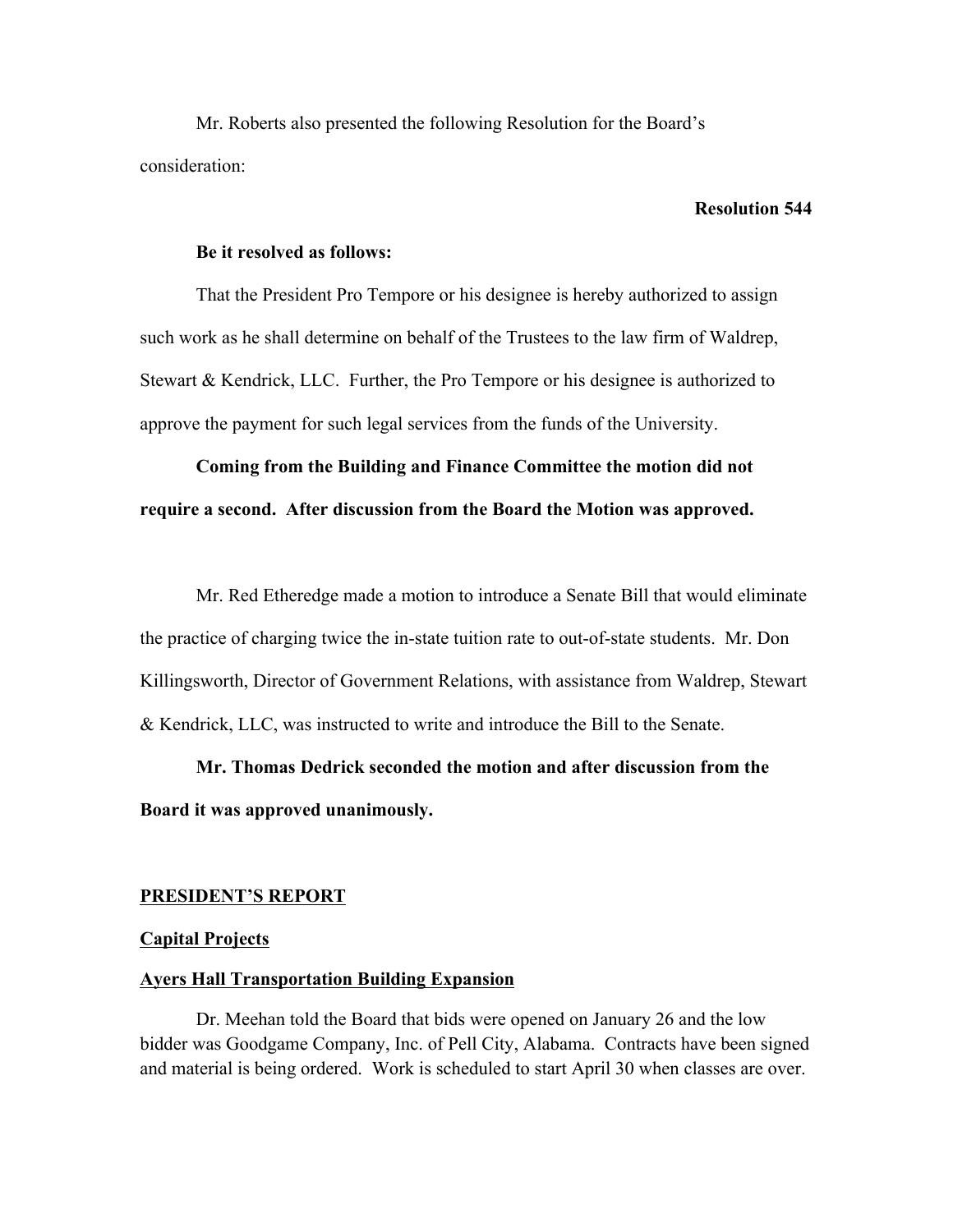Mr. Roberts also presented the following Resolution for the Board's consideration:

### **Resolution 544**

#### **Be it resolved as follows:**

That the President Pro Tempore or his designee is hereby authorized to assign such work as he shall determine on behalf of the Trustees to the law firm of Waldrep, Stewart & Kendrick, LLC. Further, the Pro Tempore or his designee is authorized to approve the payment for such legal services from the funds of the University.

# **Coming from the Building and Finance Committee the motion did not require a second. After discussion from the Board the Motion was approved.**

Mr. Red Etheredge made a motion to introduce a Senate Bill that would eliminate the practice of charging twice the in-state tuition rate to out-of-state students. Mr. Don Killingsworth, Director of Government Relations, with assistance from Waldrep, Stewart & Kendrick, LLC, was instructed to write and introduce the Bill to the Senate.

# **Mr. Thomas Dedrick seconded the motion and after discussion from the Board it was approved unanimously.**

#### **PRESIDENT'S REPORT**

#### **Capital Projects**

#### **Ayers Hall Transportation Building Expansion**

Dr. Meehan told the Board that bids were opened on January 26 and the low bidder was Goodgame Company, Inc. of Pell City, Alabama. Contracts have been signed and material is being ordered. Work is scheduled to start April 30 when classes are over.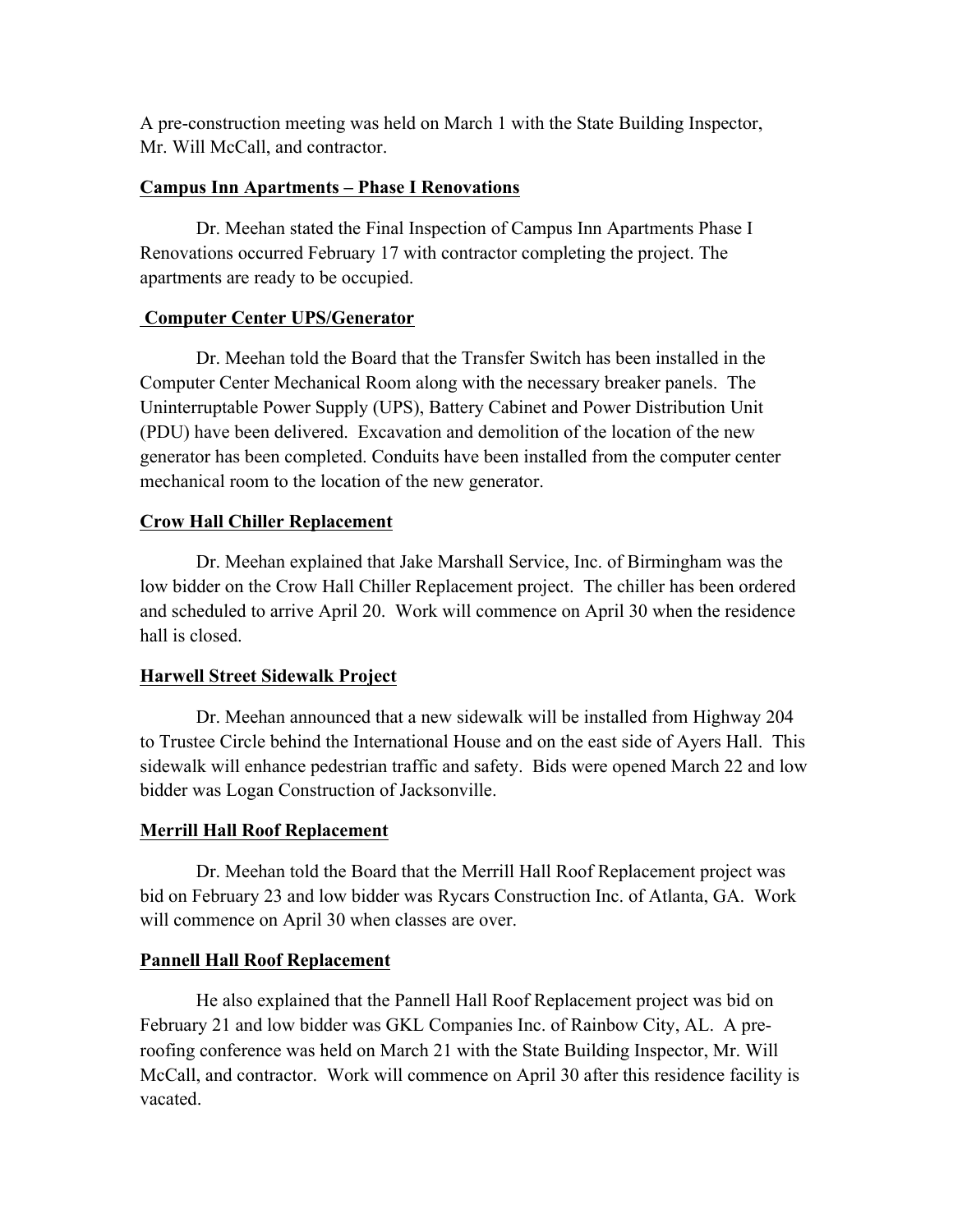A pre-construction meeting was held on March 1 with the State Building Inspector, Mr. Will McCall, and contractor.

## **Campus Inn Apartments – Phase I Renovations**

Dr. Meehan stated the Final Inspection of Campus Inn Apartments Phase I Renovations occurred February 17 with contractor completing the project. The apartments are ready to be occupied.

## **Computer Center UPS/Generator**

Dr. Meehan told the Board that the Transfer Switch has been installed in the Computer Center Mechanical Room along with the necessary breaker panels. The Uninterruptable Power Supply (UPS), Battery Cabinet and Power Distribution Unit (PDU) have been delivered. Excavation and demolition of the location of the new generator has been completed. Conduits have been installed from the computer center mechanical room to the location of the new generator.

## **Crow Hall Chiller Replacement**

Dr. Meehan explained that Jake Marshall Service, Inc. of Birmingham was the low bidder on the Crow Hall Chiller Replacement project. The chiller has been ordered and scheduled to arrive April 20. Work will commence on April 30 when the residence hall is closed.

## **Harwell Street Sidewalk Project**

Dr. Meehan announced that a new sidewalk will be installed from Highway 204 to Trustee Circle behind the International House and on the east side of Ayers Hall. This sidewalk will enhance pedestrian traffic and safety. Bids were opened March 22 and low bidder was Logan Construction of Jacksonville.

## **Merrill Hall Roof Replacement**

Dr. Meehan told the Board that the Merrill Hall Roof Replacement project was bid on February 23 and low bidder was Rycars Construction Inc. of Atlanta, GA. Work will commence on April 30 when classes are over.

## **Pannell Hall Roof Replacement**

He also explained that the Pannell Hall Roof Replacement project was bid on February 21 and low bidder was GKL Companies Inc. of Rainbow City, AL. A preroofing conference was held on March 21 with the State Building Inspector, Mr. Will McCall, and contractor. Work will commence on April 30 after this residence facility is vacated.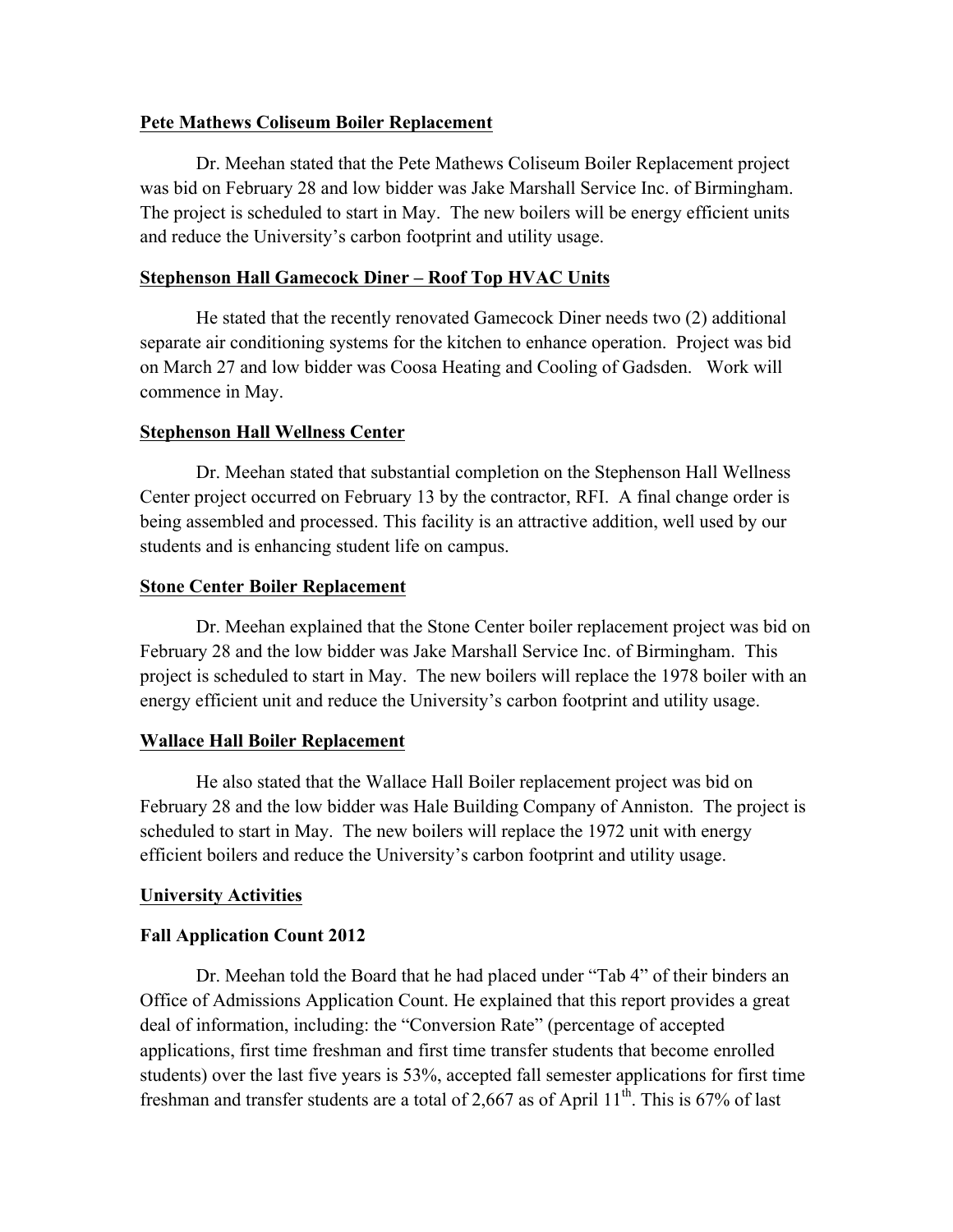## **Pete Mathews Coliseum Boiler Replacement**

Dr. Meehan stated that the Pete Mathews Coliseum Boiler Replacement project was bid on February 28 and low bidder was Jake Marshall Service Inc. of Birmingham. The project is scheduled to start in May. The new boilers will be energy efficient units and reduce the University's carbon footprint and utility usage.

## **Stephenson Hall Gamecock Diner – Roof Top HVAC Units**

He stated that the recently renovated Gamecock Diner needs two (2) additional separate air conditioning systems for the kitchen to enhance operation. Project was bid on March 27 and low bidder was Coosa Heating and Cooling of Gadsden. Work will commence in May.

## **Stephenson Hall Wellness Center**

Dr. Meehan stated that substantial completion on the Stephenson Hall Wellness Center project occurred on February 13 by the contractor, RFI. A final change order is being assembled and processed. This facility is an attractive addition, well used by our students and is enhancing student life on campus.

## **Stone Center Boiler Replacement**

Dr. Meehan explained that the Stone Center boiler replacement project was bid on February 28 and the low bidder was Jake Marshall Service Inc. of Birmingham. This project is scheduled to start in May. The new boilers will replace the 1978 boiler with an energy efficient unit and reduce the University's carbon footprint and utility usage.

### **Wallace Hall Boiler Replacement**

He also stated that the Wallace Hall Boiler replacement project was bid on February 28 and the low bidder was Hale Building Company of Anniston. The project is scheduled to start in May. The new boilers will replace the 1972 unit with energy efficient boilers and reduce the University's carbon footprint and utility usage.

### **University Activities**

## **Fall Application Count 2012**

Dr. Meehan told the Board that he had placed under "Tab 4" of their binders an Office of Admissions Application Count. He explained that this report provides a great deal of information, including: the "Conversion Rate" (percentage of accepted applications, first time freshman and first time transfer students that become enrolled students) over the last five years is 53%, accepted fall semester applications for first time freshman and transfer students are a total of 2,667 as of April  $11<sup>th</sup>$ . This is 67% of last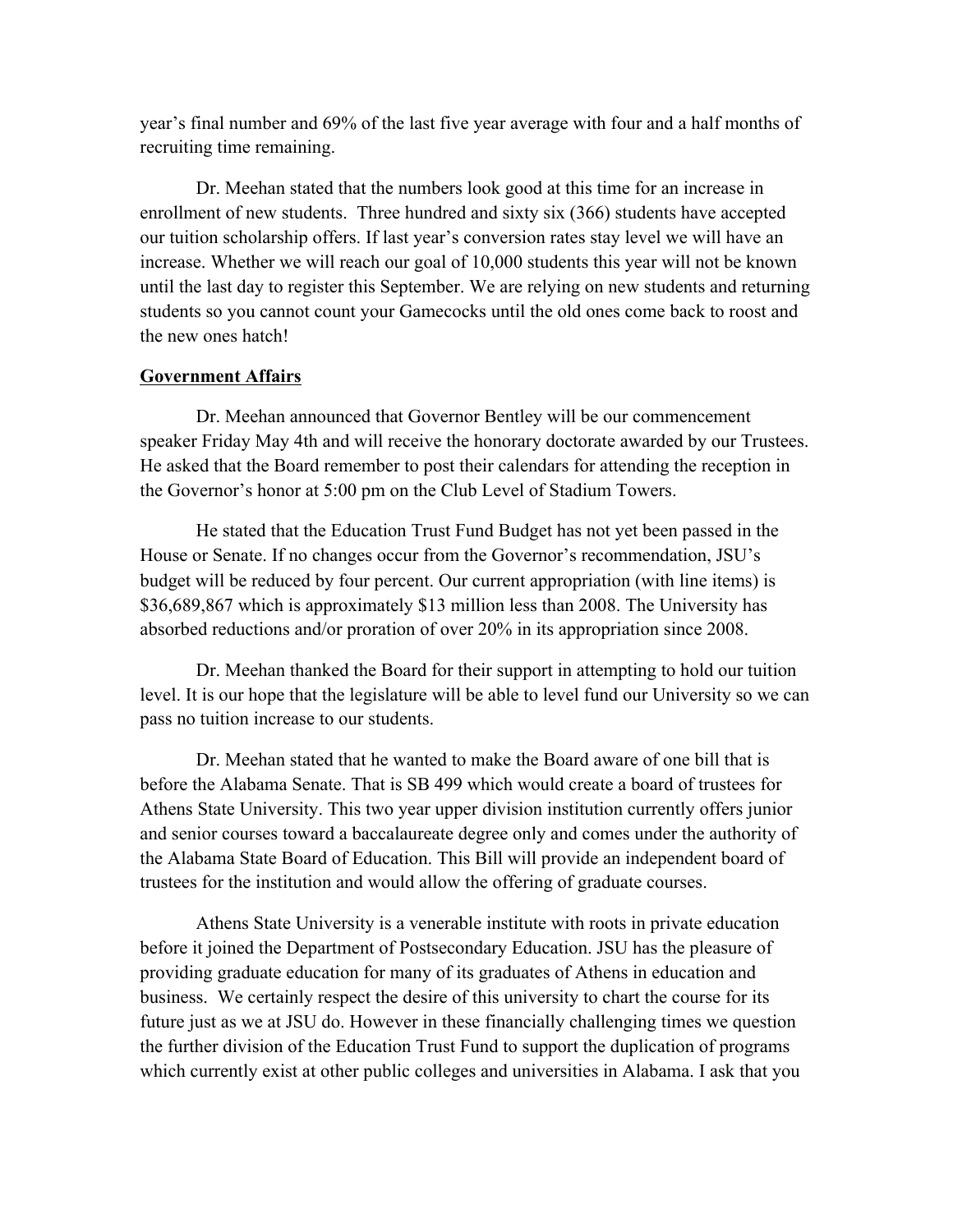year's final number and 69% of the last five year average with four and a half months of recruiting time remaining.

Dr. Meehan stated that the numbers look good at this time for an increase in enrollment of new students. Three hundred and sixty six (366) students have accepted our tuition scholarship offers. If last year's conversion rates stay level we will have an increase. Whether we will reach our goal of 10,000 students this year will not be known until the last day to register this September. We are relying on new students and returning students so you cannot count your Gamecocks until the old ones come back to roost and the new ones hatch!

#### **Government Affairs**

Dr. Meehan announced that Governor Bentley will be our commencement speaker Friday May 4th and will receive the honorary doctorate awarded by our Trustees. He asked that the Board remember to post their calendars for attending the reception in the Governor's honor at 5:00 pm on the Club Level of Stadium Towers.

He stated that the Education Trust Fund Budget has not yet been passed in the House or Senate. If no changes occur from the Governor's recommendation, JSU's budget will be reduced by four percent. Our current appropriation (with line items) is \$36,689,867 which is approximately \$13 million less than 2008. The University has absorbed reductions and/or proration of over 20% in its appropriation since 2008.

Dr. Meehan thanked the Board for their support in attempting to hold our tuition level. It is our hope that the legislature will be able to level fund our University so we can pass no tuition increase to our students.

Dr. Meehan stated that he wanted to make the Board aware of one bill that is before the Alabama Senate. That is SB 499 which would create a board of trustees for Athens State University. This two year upper division institution currently offers junior and senior courses toward a baccalaureate degree only and comes under the authority of the Alabama State Board of Education. This Bill will provide an independent board of trustees for the institution and would allow the offering of graduate courses.

Athens State University is a venerable institute with roots in private education before it joined the Department of Postsecondary Education. JSU has the pleasure of providing graduate education for many of its graduates of Athens in education and business. We certainly respect the desire of this university to chart the course for its future just as we at JSU do. However in these financially challenging times we question the further division of the Education Trust Fund to support the duplication of programs which currently exist at other public colleges and universities in Alabama. I ask that you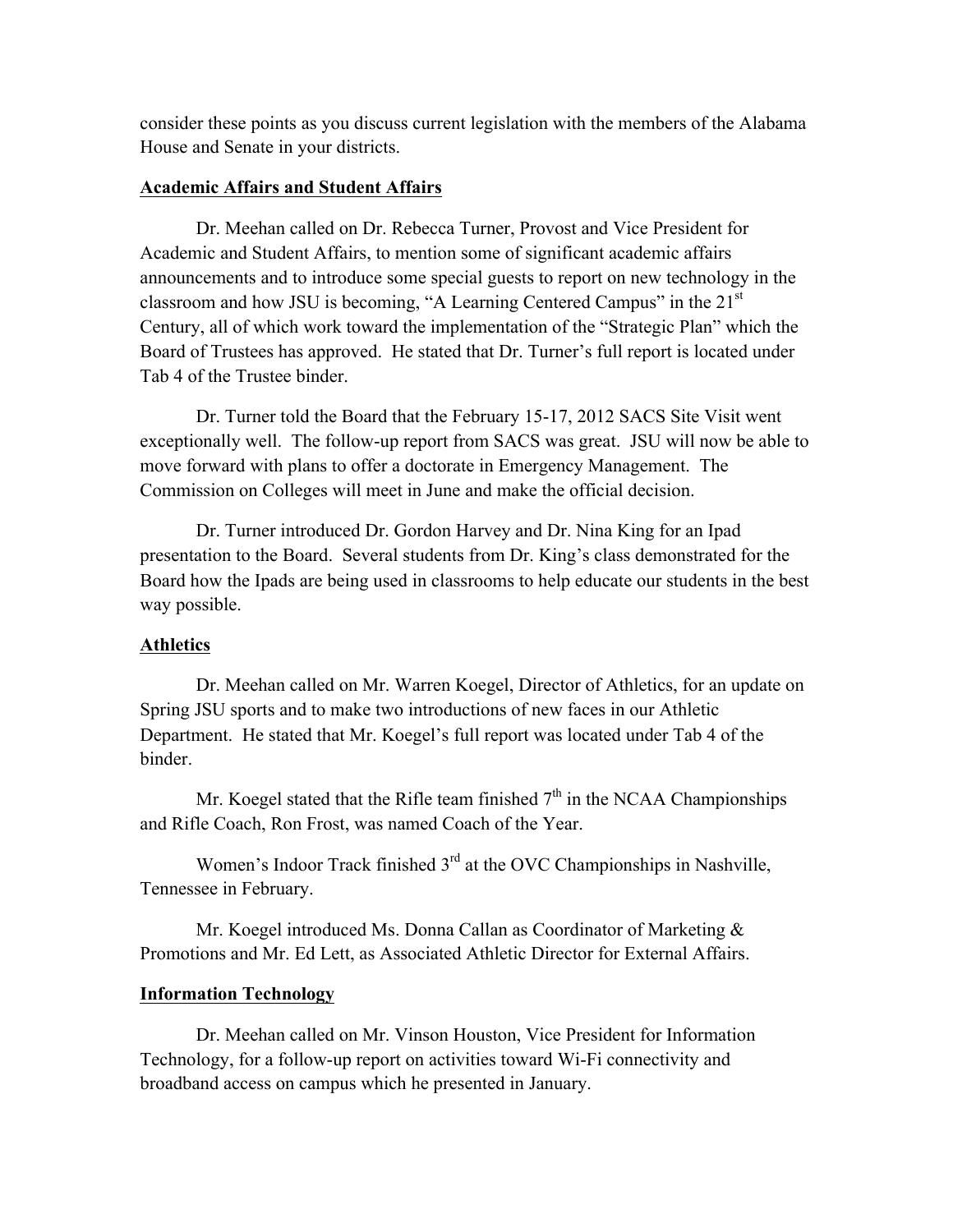consider these points as you discuss current legislation with the members of the Alabama House and Senate in your districts.

#### **Academic Affairs and Student Affairs**

Dr. Meehan called on Dr. Rebecca Turner, Provost and Vice President for Academic and Student Affairs, to mention some of significant academic affairs announcements and to introduce some special guests to report on new technology in the classroom and how JSU is becoming, "A Learning Centered Campus" in the  $21<sup>st</sup>$ Century, all of which work toward the implementation of the "Strategic Plan" which the Board of Trustees has approved. He stated that Dr. Turner's full report is located under Tab 4 of the Trustee binder.

Dr. Turner told the Board that the February 15-17, 2012 SACS Site Visit went exceptionally well. The follow-up report from SACS was great. JSU will now be able to move forward with plans to offer a doctorate in Emergency Management. The Commission on Colleges will meet in June and make the official decision.

Dr. Turner introduced Dr. Gordon Harvey and Dr. Nina King for an Ipad presentation to the Board. Several students from Dr. King's class demonstrated for the Board how the Ipads are being used in classrooms to help educate our students in the best way possible.

#### **Athletics**

Dr. Meehan called on Mr. Warren Koegel, Director of Athletics, for an update on Spring JSU sports and to make two introductions of new faces in our Athletic Department. He stated that Mr. Koegel's full report was located under Tab 4 of the binder.

Mr. Koegel stated that the Rifle team finished  $7<sup>th</sup>$  in the NCAA Championships and Rifle Coach, Ron Frost, was named Coach of the Year.

Women's Indoor Track finished 3<sup>rd</sup> at the OVC Championships in Nashville, Tennessee in February.

Mr. Koegel introduced Ms. Donna Callan as Coordinator of Marketing & Promotions and Mr. Ed Lett, as Associated Athletic Director for External Affairs.

#### **Information Technology**

Dr. Meehan called on Mr. Vinson Houston, Vice President for Information Technology, for a follow-up report on activities toward Wi-Fi connectivity and broadband access on campus which he presented in January.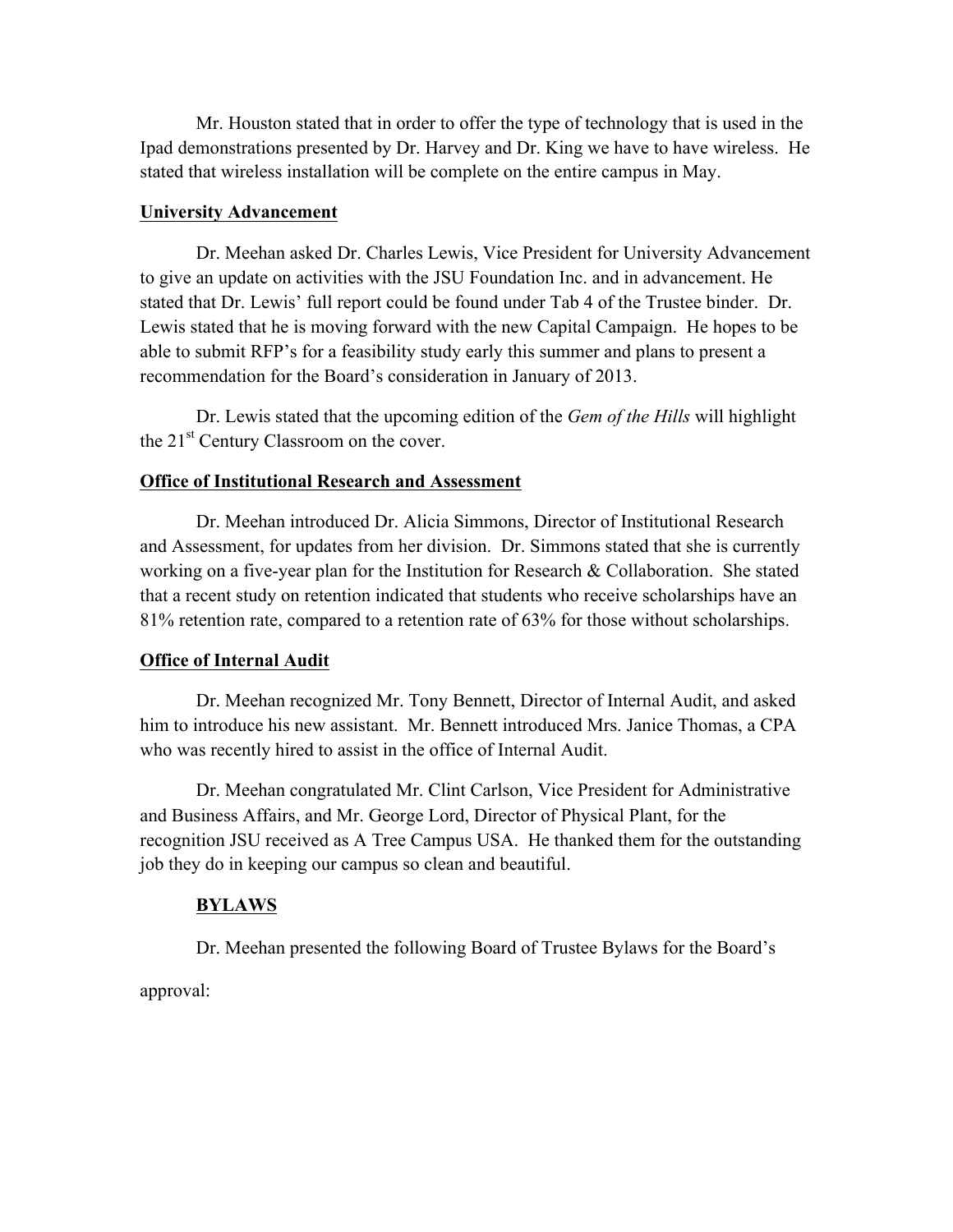Mr. Houston stated that in order to offer the type of technology that is used in the Ipad demonstrations presented by Dr. Harvey and Dr. King we have to have wireless. He stated that wireless installation will be complete on the entire campus in May.

#### **University Advancement**

Dr. Meehan asked Dr. Charles Lewis, Vice President for University Advancement to give an update on activities with the JSU Foundation Inc. and in advancement. He stated that Dr. Lewis' full report could be found under Tab 4 of the Trustee binder. Dr. Lewis stated that he is moving forward with the new Capital Campaign. He hopes to be able to submit RFP's for a feasibility study early this summer and plans to present a recommendation for the Board's consideration in January of 2013.

Dr. Lewis stated that the upcoming edition of the *Gem of the Hills* will highlight the 21<sup>st</sup> Century Classroom on the cover.

#### **Office of Institutional Research and Assessment**

Dr. Meehan introduced Dr. Alicia Simmons, Director of Institutional Research and Assessment, for updates from her division. Dr. Simmons stated that she is currently working on a five-year plan for the Institution for Research  $&$  Collaboration. She stated that a recent study on retention indicated that students who receive scholarships have an 81% retention rate, compared to a retention rate of 63% for those without scholarships.

#### **Office of Internal Audit**

Dr. Meehan recognized Mr. Tony Bennett, Director of Internal Audit, and asked him to introduce his new assistant. Mr. Bennett introduced Mrs. Janice Thomas, a CPA who was recently hired to assist in the office of Internal Audit.

Dr. Meehan congratulated Mr. Clint Carlson, Vice President for Administrative and Business Affairs, and Mr. George Lord, Director of Physical Plant, for the recognition JSU received as A Tree Campus USA. He thanked them for the outstanding job they do in keeping our campus so clean and beautiful.

#### **BYLAWS**

Dr. Meehan presented the following Board of Trustee Bylaws for the Board's

approval: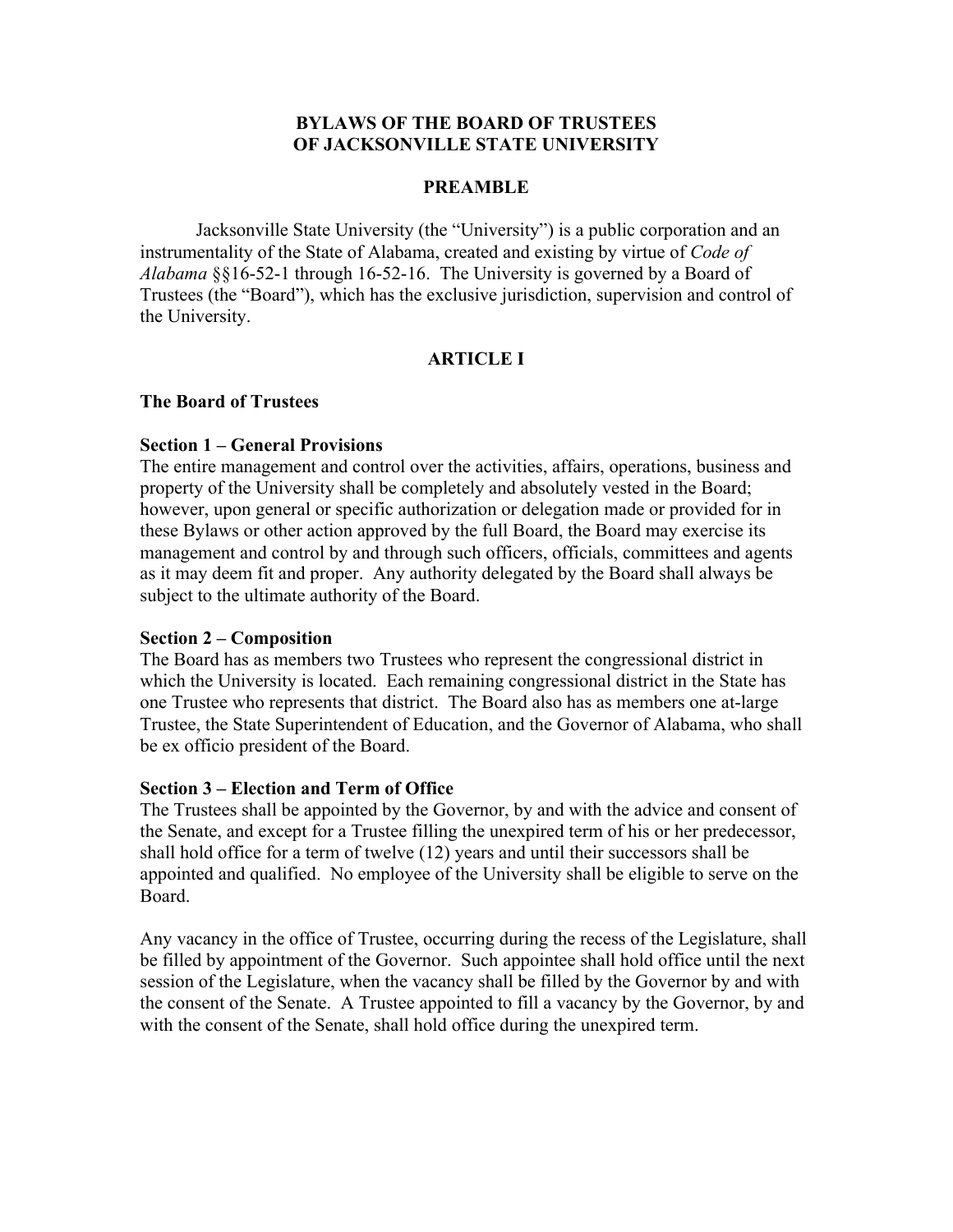## **BYLAWS OF THE BOARD OF TRUSTEES OF JACKSONVILLE STATE UNIVERSITY**

### **PREAMBLE**

Jacksonville State University (the "University") is a public corporation and an instrumentality of the State of Alabama, created and existing by virtue of *Code of Alabama* §§16-52-1 through 16-52-16. The University is governed by a Board of Trustees (the "Board"), which has the exclusive jurisdiction, supervision and control of the University.

## **ARTICLE I**

### **The Board of Trustees**

### **Section 1 – General Provisions**

The entire management and control over the activities, affairs, operations, business and property of the University shall be completely and absolutely vested in the Board; however, upon general or specific authorization or delegation made or provided for in these Bylaws or other action approved by the full Board, the Board may exercise its management and control by and through such officers, officials, committees and agents as it may deem fit and proper. Any authority delegated by the Board shall always be subject to the ultimate authority of the Board.

### **Section 2 – Composition**

The Board has as members two Trustees who represent the congressional district in which the University is located. Each remaining congressional district in the State has one Trustee who represents that district. The Board also has as members one at-large Trustee, the State Superintendent of Education, and the Governor of Alabama, who shall be ex officio president of the Board.

### **Section 3 – Election and Term of Office**

The Trustees shall be appointed by the Governor, by and with the advice and consent of the Senate, and except for a Trustee filling the unexpired term of his or her predecessor, shall hold office for a term of twelve (12) years and until their successors shall be appointed and qualified. No employee of the University shall be eligible to serve on the Board.

Any vacancy in the office of Trustee, occurring during the recess of the Legislature, shall be filled by appointment of the Governor. Such appointee shall hold office until the next session of the Legislature, when the vacancy shall be filled by the Governor by and with the consent of the Senate. A Trustee appointed to fill a vacancy by the Governor, by and with the consent of the Senate, shall hold office during the unexpired term.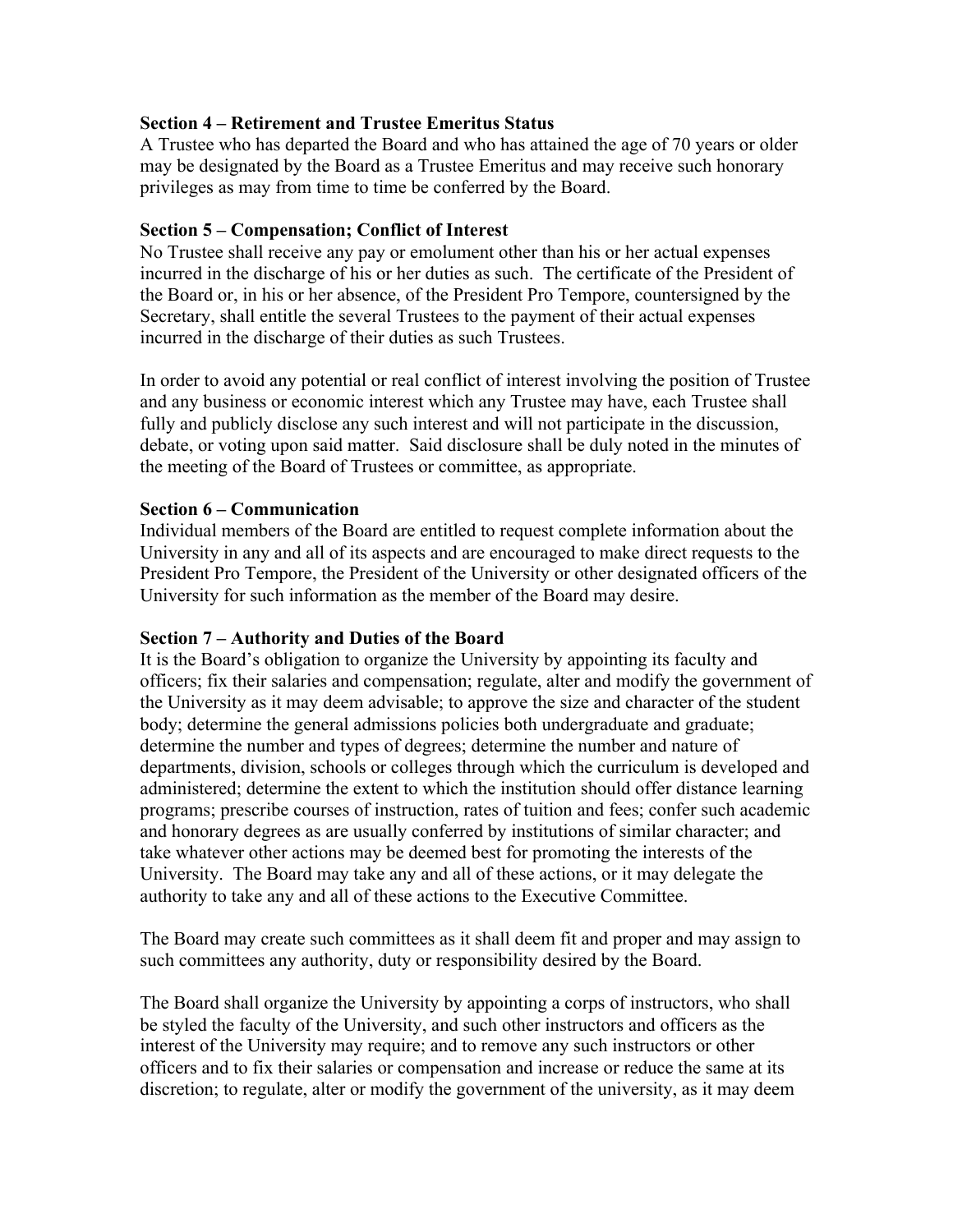## **Section 4 – Retirement and Trustee Emeritus Status**

A Trustee who has departed the Board and who has attained the age of 70 years or older may be designated by the Board as a Trustee Emeritus and may receive such honorary privileges as may from time to time be conferred by the Board.

## **Section 5 – Compensation; Conflict of Interest**

No Trustee shall receive any pay or emolument other than his or her actual expenses incurred in the discharge of his or her duties as such. The certificate of the President of the Board or, in his or her absence, of the President Pro Tempore, countersigned by the Secretary, shall entitle the several Trustees to the payment of their actual expenses incurred in the discharge of their duties as such Trustees.

In order to avoid any potential or real conflict of interest involving the position of Trustee and any business or economic interest which any Trustee may have, each Trustee shall fully and publicly disclose any such interest and will not participate in the discussion, debate, or voting upon said matter. Said disclosure shall be duly noted in the minutes of the meeting of the Board of Trustees or committee, as appropriate.

## **Section 6 – Communication**

Individual members of the Board are entitled to request complete information about the University in any and all of its aspects and are encouraged to make direct requests to the President Pro Tempore, the President of the University or other designated officers of the University for such information as the member of the Board may desire.

## **Section 7 – Authority and Duties of the Board**

It is the Board's obligation to organize the University by appointing its faculty and officers; fix their salaries and compensation; regulate, alter and modify the government of the University as it may deem advisable; to approve the size and character of the student body; determine the general admissions policies both undergraduate and graduate; determine the number and types of degrees; determine the number and nature of departments, division, schools or colleges through which the curriculum is developed and administered; determine the extent to which the institution should offer distance learning programs; prescribe courses of instruction, rates of tuition and fees; confer such academic and honorary degrees as are usually conferred by institutions of similar character; and take whatever other actions may be deemed best for promoting the interests of the University. The Board may take any and all of these actions, or it may delegate the authority to take any and all of these actions to the Executive Committee.

The Board may create such committees as it shall deem fit and proper and may assign to such committees any authority, duty or responsibility desired by the Board.

The Board shall organize the University by appointing a corps of instructors, who shall be styled the faculty of the University, and such other instructors and officers as the interest of the University may require; and to remove any such instructors or other officers and to fix their salaries or compensation and increase or reduce the same at its discretion; to regulate, alter or modify the government of the university, as it may deem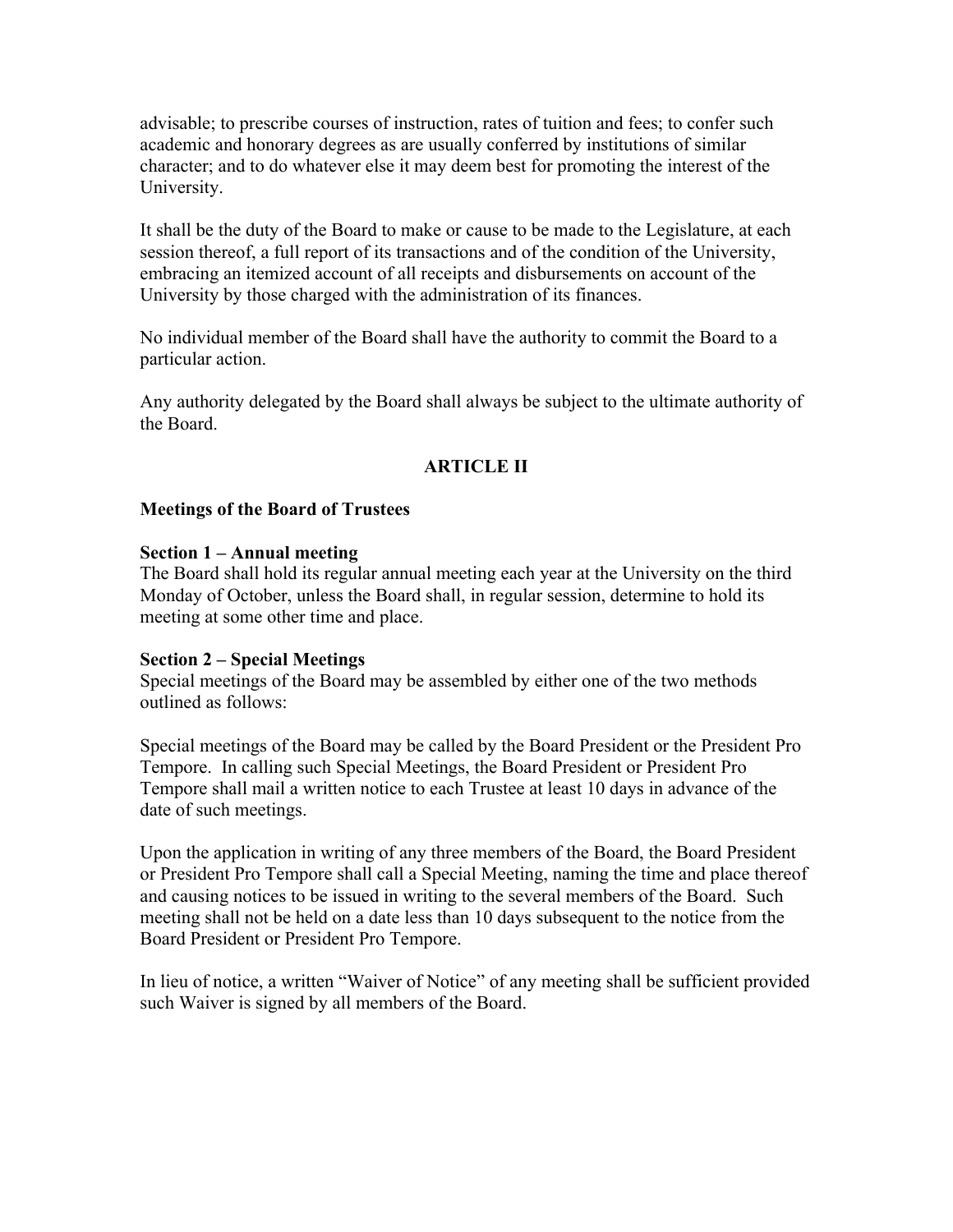advisable; to prescribe courses of instruction, rates of tuition and fees; to confer such academic and honorary degrees as are usually conferred by institutions of similar character; and to do whatever else it may deem best for promoting the interest of the University.

It shall be the duty of the Board to make or cause to be made to the Legislature, at each session thereof, a full report of its transactions and of the condition of the University, embracing an itemized account of all receipts and disbursements on account of the University by those charged with the administration of its finances.

No individual member of the Board shall have the authority to commit the Board to a particular action.

Any authority delegated by the Board shall always be subject to the ultimate authority of the Board.

## **ARTICLE II**

## **Meetings of the Board of Trustees**

### **Section 1 – Annual meeting**

The Board shall hold its regular annual meeting each year at the University on the third Monday of October, unless the Board shall, in regular session, determine to hold its meeting at some other time and place.

### **Section 2 – Special Meetings**

Special meetings of the Board may be assembled by either one of the two methods outlined as follows:

Special meetings of the Board may be called by the Board President or the President Pro Tempore. In calling such Special Meetings, the Board President or President Pro Tempore shall mail a written notice to each Trustee at least 10 days in advance of the date of such meetings.

Upon the application in writing of any three members of the Board, the Board President or President Pro Tempore shall call a Special Meeting, naming the time and place thereof and causing notices to be issued in writing to the several members of the Board. Such meeting shall not be held on a date less than 10 days subsequent to the notice from the Board President or President Pro Tempore.

In lieu of notice, a written "Waiver of Notice" of any meeting shall be sufficient provided such Waiver is signed by all members of the Board.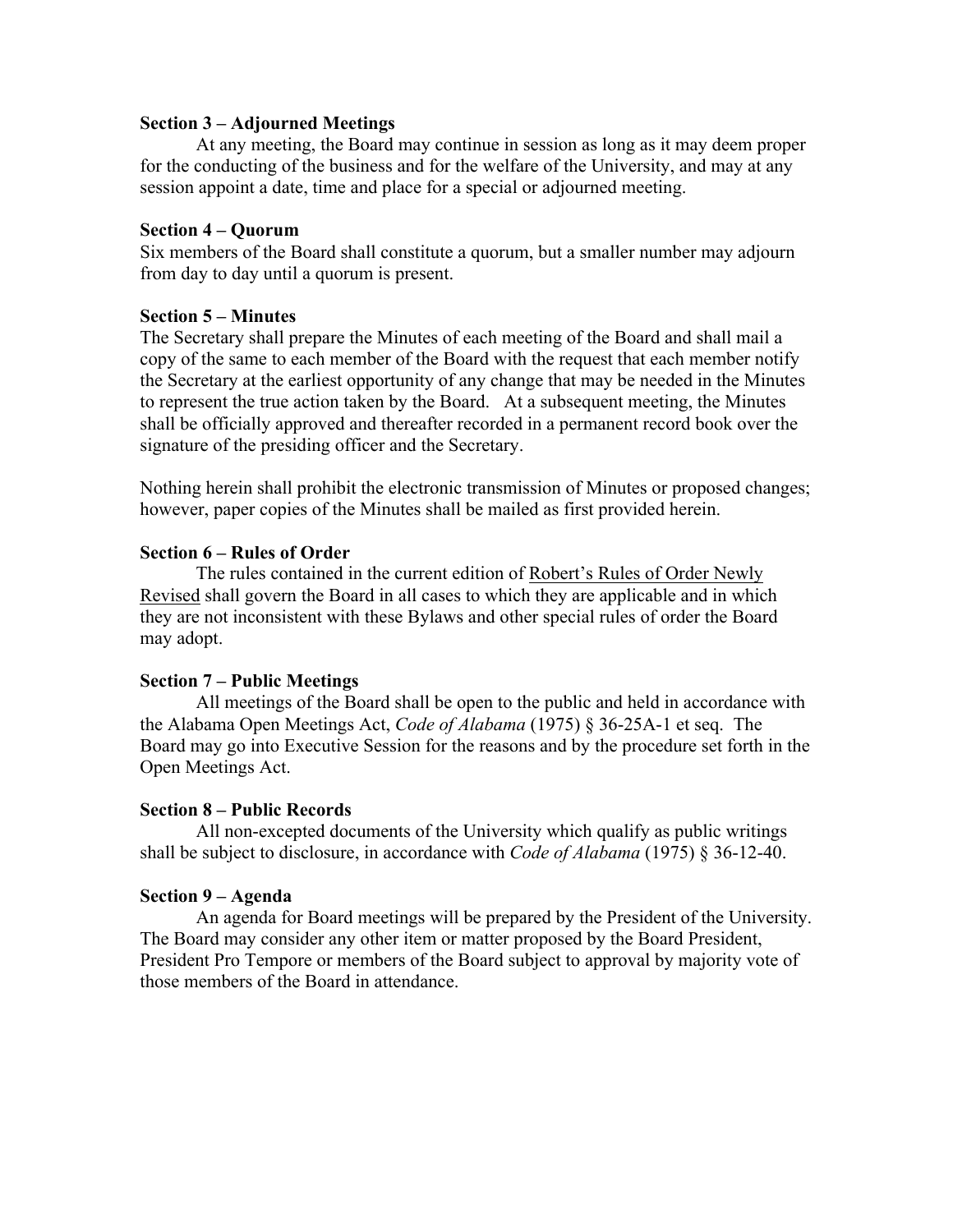#### **Section 3 – Adjourned Meetings**

At any meeting, the Board may continue in session as long as it may deem proper for the conducting of the business and for the welfare of the University, and may at any session appoint a date, time and place for a special or adjourned meeting.

### **Section 4 – Quorum**

Six members of the Board shall constitute a quorum, but a smaller number may adjourn from day to day until a quorum is present.

## **Section 5 – Minutes**

The Secretary shall prepare the Minutes of each meeting of the Board and shall mail a copy of the same to each member of the Board with the request that each member notify the Secretary at the earliest opportunity of any change that may be needed in the Minutes to represent the true action taken by the Board. At a subsequent meeting, the Minutes shall be officially approved and thereafter recorded in a permanent record book over the signature of the presiding officer and the Secretary.

Nothing herein shall prohibit the electronic transmission of Minutes or proposed changes; however, paper copies of the Minutes shall be mailed as first provided herein.

## **Section 6 – Rules of Order**

The rules contained in the current edition of Robert's Rules of Order Newly Revised shall govern the Board in all cases to which they are applicable and in which they are not inconsistent with these Bylaws and other special rules of order the Board may adopt.

## **Section 7 – Public Meetings**

All meetings of the Board shall be open to the public and held in accordance with the Alabama Open Meetings Act, *Code of Alabama* (1975) § 36-25A-1 et seq. The Board may go into Executive Session for the reasons and by the procedure set forth in the Open Meetings Act.

### **Section 8 – Public Records**

All non-excepted documents of the University which qualify as public writings shall be subject to disclosure, in accordance with *Code of Alabama* (1975) § 36-12-40.

### **Section 9 – Agenda**

An agenda for Board meetings will be prepared by the President of the University. The Board may consider any other item or matter proposed by the Board President, President Pro Tempore or members of the Board subject to approval by majority vote of those members of the Board in attendance.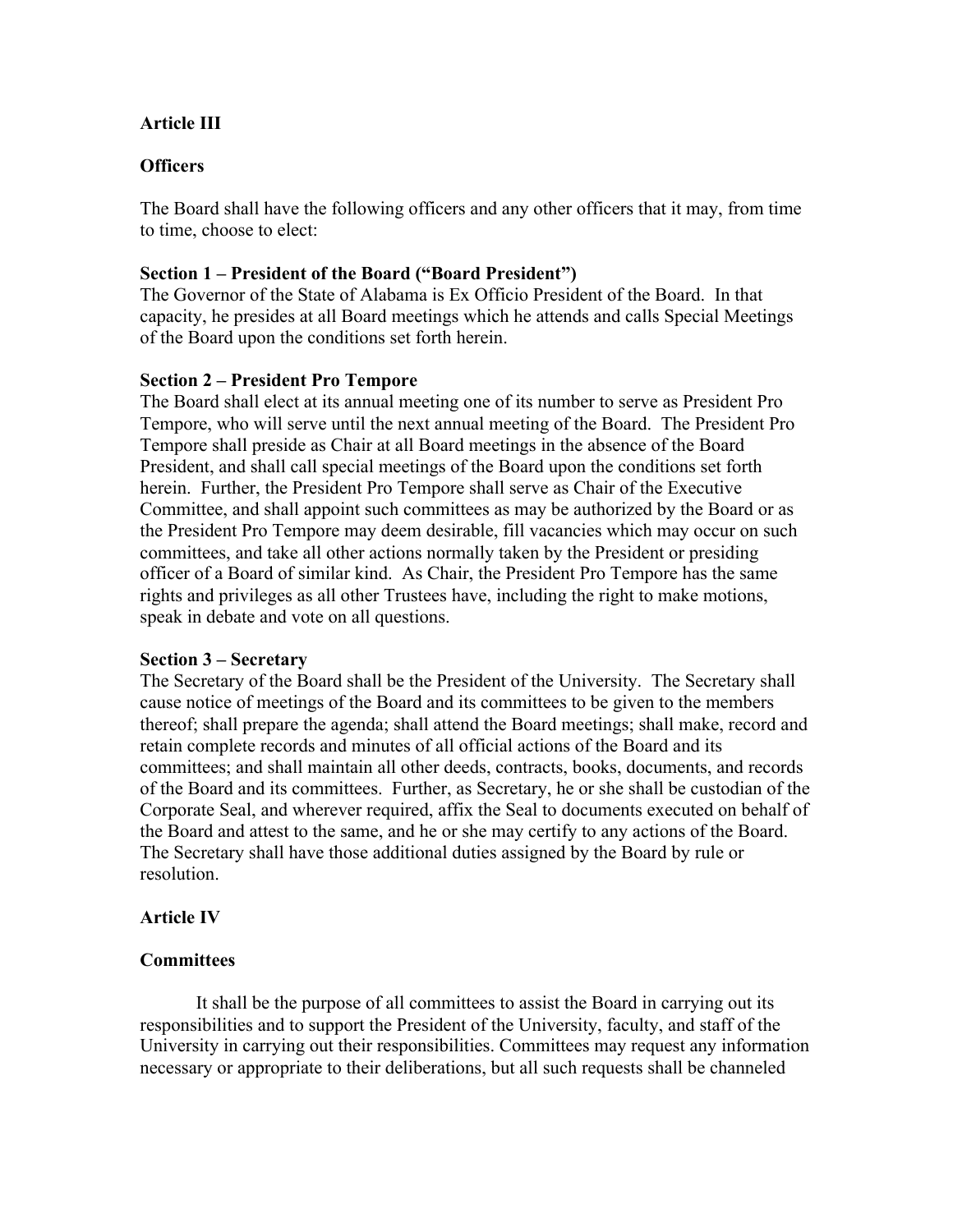## **Article III**

## **Officers**

The Board shall have the following officers and any other officers that it may, from time to time, choose to elect:

### **Section 1 – President of the Board ("Board President")**

The Governor of the State of Alabama is Ex Officio President of the Board. In that capacity, he presides at all Board meetings which he attends and calls Special Meetings of the Board upon the conditions set forth herein.

## **Section 2 – President Pro Tempore**

The Board shall elect at its annual meeting one of its number to serve as President Pro Tempore, who will serve until the next annual meeting of the Board. The President Pro Tempore shall preside as Chair at all Board meetings in the absence of the Board President, and shall call special meetings of the Board upon the conditions set forth herein. Further, the President Pro Tempore shall serve as Chair of the Executive Committee, and shall appoint such committees as may be authorized by the Board or as the President Pro Tempore may deem desirable, fill vacancies which may occur on such committees, and take all other actions normally taken by the President or presiding officer of a Board of similar kind. As Chair, the President Pro Tempore has the same rights and privileges as all other Trustees have, including the right to make motions, speak in debate and vote on all questions.

### **Section 3 – Secretary**

The Secretary of the Board shall be the President of the University. The Secretary shall cause notice of meetings of the Board and its committees to be given to the members thereof; shall prepare the agenda; shall attend the Board meetings; shall make, record and retain complete records and minutes of all official actions of the Board and its committees; and shall maintain all other deeds, contracts, books, documents, and records of the Board and its committees. Further, as Secretary, he or she shall be custodian of the Corporate Seal, and wherever required, affix the Seal to documents executed on behalf of the Board and attest to the same, and he or she may certify to any actions of the Board. The Secretary shall have those additional duties assigned by the Board by rule or resolution.

### **Article IV**

### **Committees**

It shall be the purpose of all committees to assist the Board in carrying out its responsibilities and to support the President of the University, faculty, and staff of the University in carrying out their responsibilities. Committees may request any information necessary or appropriate to their deliberations, but all such requests shall be channeled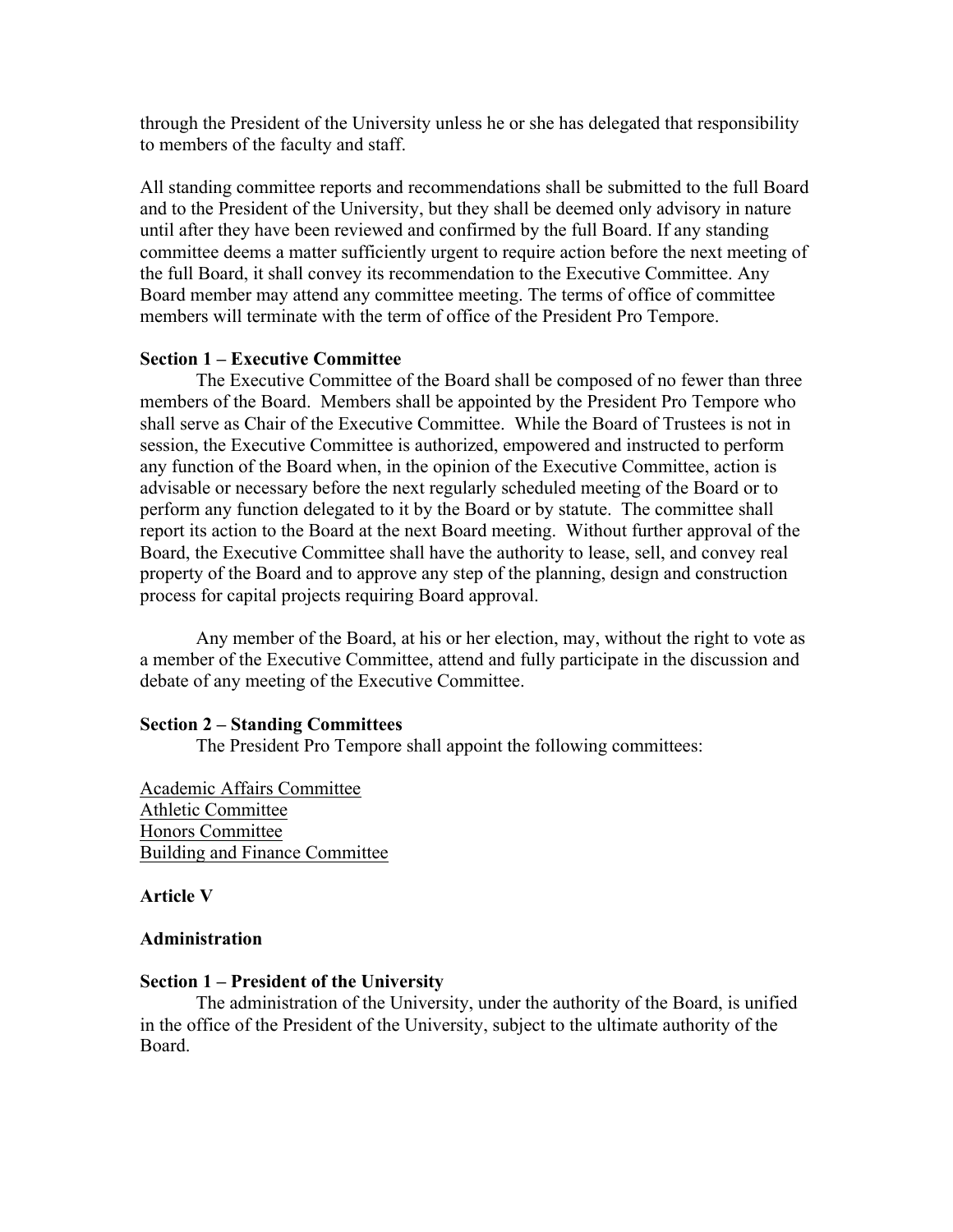through the President of the University unless he or she has delegated that responsibility to members of the faculty and staff.

All standing committee reports and recommendations shall be submitted to the full Board and to the President of the University, but they shall be deemed only advisory in nature until after they have been reviewed and confirmed by the full Board. If any standing committee deems a matter sufficiently urgent to require action before the next meeting of the full Board, it shall convey its recommendation to the Executive Committee. Any Board member may attend any committee meeting. The terms of office of committee members will terminate with the term of office of the President Pro Tempore.

### **Section 1 – Executive Committee**

The Executive Committee of the Board shall be composed of no fewer than three members of the Board. Members shall be appointed by the President Pro Tempore who shall serve as Chair of the Executive Committee. While the Board of Trustees is not in session, the Executive Committee is authorized, empowered and instructed to perform any function of the Board when, in the opinion of the Executive Committee, action is advisable or necessary before the next regularly scheduled meeting of the Board or to perform any function delegated to it by the Board or by statute. The committee shall report its action to the Board at the next Board meeting. Without further approval of the Board, the Executive Committee shall have the authority to lease, sell, and convey real property of the Board and to approve any step of the planning, design and construction process for capital projects requiring Board approval.

Any member of the Board, at his or her election, may, without the right to vote as a member of the Executive Committee, attend and fully participate in the discussion and debate of any meeting of the Executive Committee.

#### **Section 2 – Standing Committees**

The President Pro Tempore shall appoint the following committees:

Academic Affairs Committee Athletic Committee Honors Committee Building and Finance Committee

#### **Article V**

#### **Administration**

#### **Section 1 – President of the University**

The administration of the University, under the authority of the Board, is unified in the office of the President of the University, subject to the ultimate authority of the Board.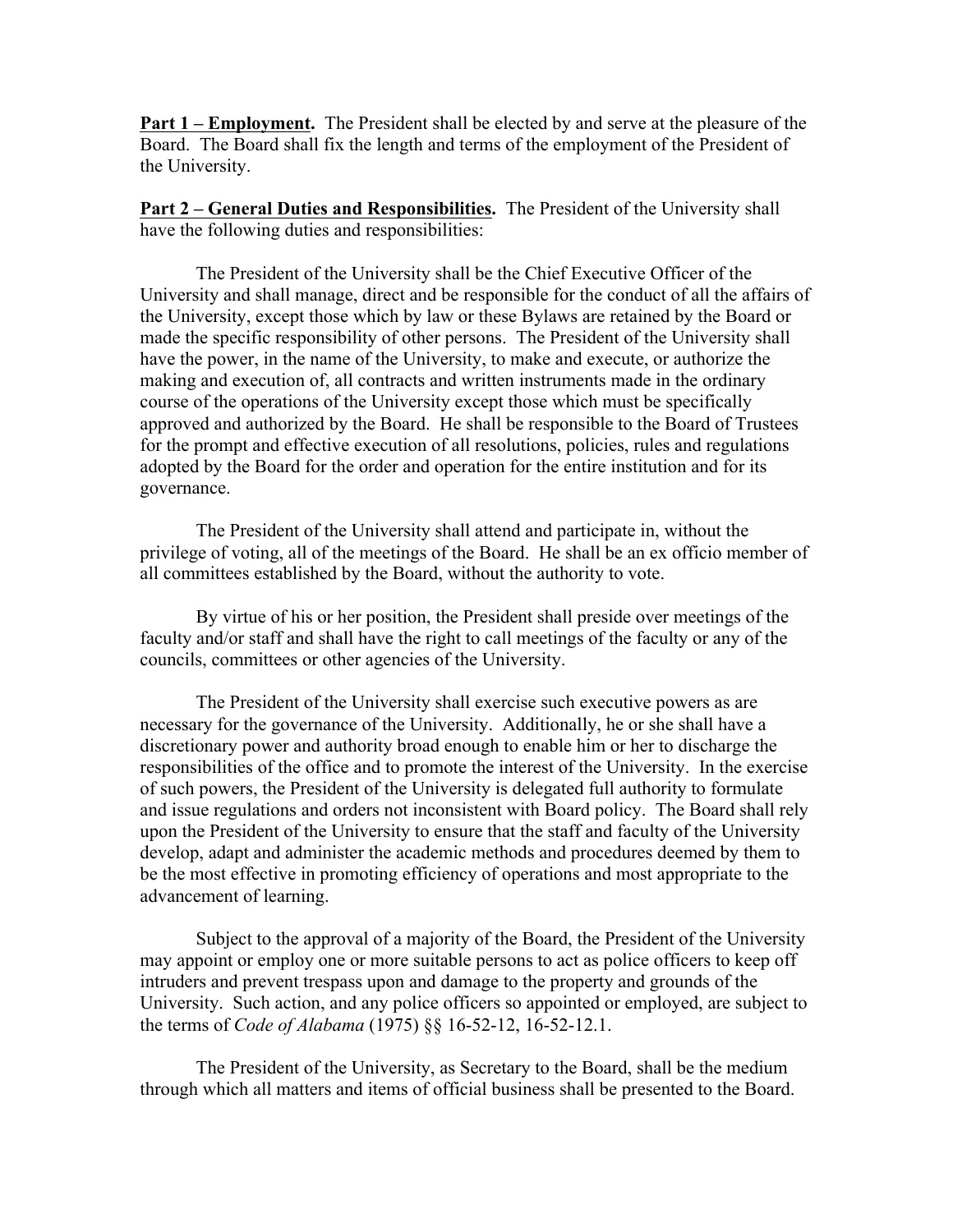**Part 1 – Employment.** The President shall be elected by and serve at the pleasure of the Board. The Board shall fix the length and terms of the employment of the President of the University.

**Part 2 – General Duties and Responsibilities.** The President of the University shall have the following duties and responsibilities:

The President of the University shall be the Chief Executive Officer of the University and shall manage, direct and be responsible for the conduct of all the affairs of the University, except those which by law or these Bylaws are retained by the Board or made the specific responsibility of other persons. The President of the University shall have the power, in the name of the University, to make and execute, or authorize the making and execution of, all contracts and written instruments made in the ordinary course of the operations of the University except those which must be specifically approved and authorized by the Board. He shall be responsible to the Board of Trustees for the prompt and effective execution of all resolutions, policies, rules and regulations adopted by the Board for the order and operation for the entire institution and for its governance.

The President of the University shall attend and participate in, without the privilege of voting, all of the meetings of the Board. He shall be an ex officio member of all committees established by the Board, without the authority to vote.

By virtue of his or her position, the President shall preside over meetings of the faculty and/or staff and shall have the right to call meetings of the faculty or any of the councils, committees or other agencies of the University.

The President of the University shall exercise such executive powers as are necessary for the governance of the University. Additionally, he or she shall have a discretionary power and authority broad enough to enable him or her to discharge the responsibilities of the office and to promote the interest of the University. In the exercise of such powers, the President of the University is delegated full authority to formulate and issue regulations and orders not inconsistent with Board policy. The Board shall rely upon the President of the University to ensure that the staff and faculty of the University develop, adapt and administer the academic methods and procedures deemed by them to be the most effective in promoting efficiency of operations and most appropriate to the advancement of learning.

Subject to the approval of a majority of the Board, the President of the University may appoint or employ one or more suitable persons to act as police officers to keep off intruders and prevent trespass upon and damage to the property and grounds of the University. Such action, and any police officers so appointed or employed, are subject to the terms of *Code of Alabama* (1975) §§ 16-52-12, 16-52-12.1.

The President of the University, as Secretary to the Board, shall be the medium through which all matters and items of official business shall be presented to the Board.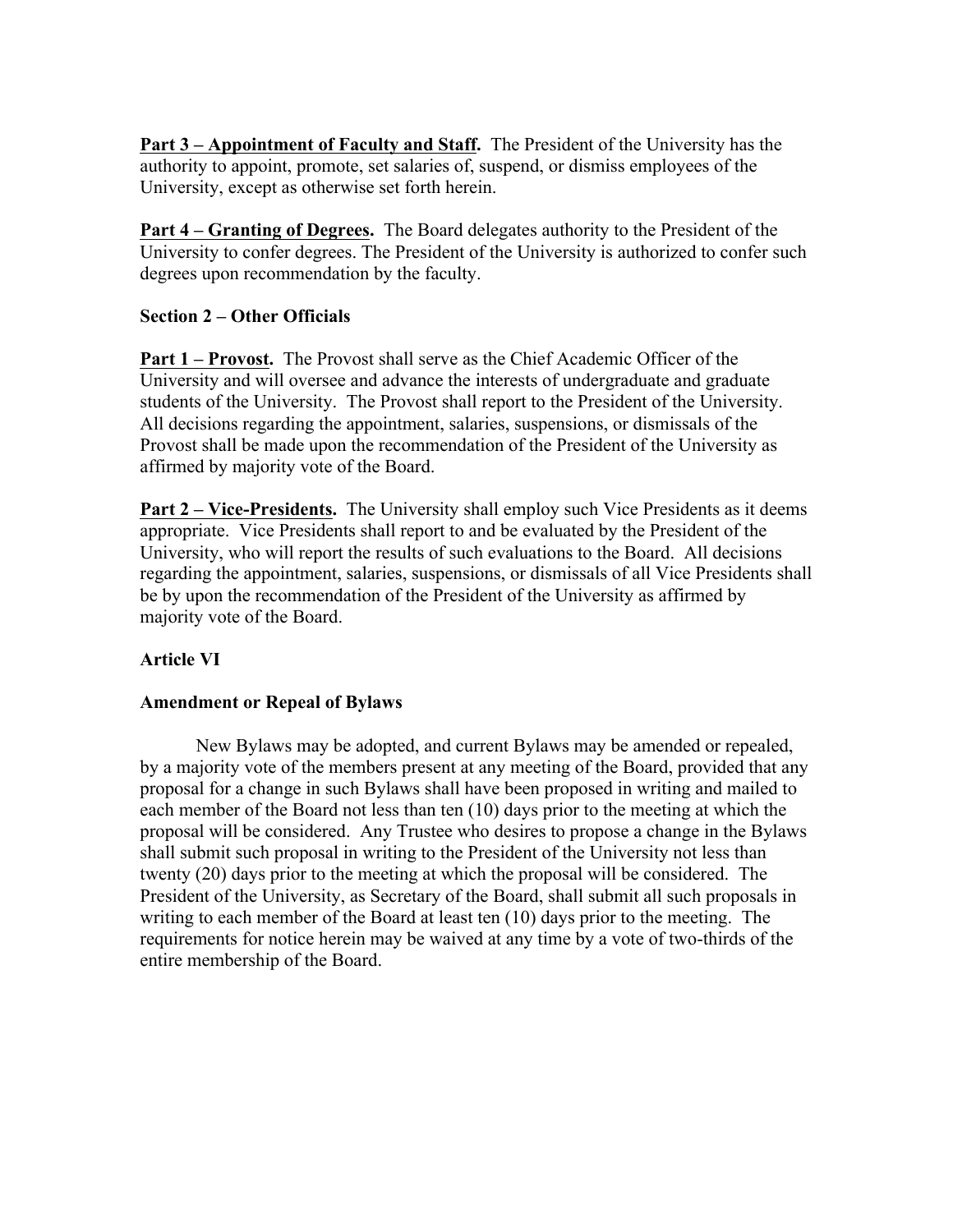**Part 3 – Appointment of Faculty and Staff.** The President of the University has the authority to appoint, promote, set salaries of, suspend, or dismiss employees of the University, except as otherwise set forth herein.

**Part 4 – Granting of Degrees.** The Board delegates authority to the President of the University to confer degrees. The President of the University is authorized to confer such degrees upon recommendation by the faculty.

## **Section 2 – Other Officials**

**Part 1 – Provost.** The Provost shall serve as the Chief Academic Officer of the University and will oversee and advance the interests of undergraduate and graduate students of the University. The Provost shall report to the President of the University. All decisions regarding the appointment, salaries, suspensions, or dismissals of the Provost shall be made upon the recommendation of the President of the University as affirmed by majority vote of the Board.

**Part 2 – Vice-Presidents.** The University shall employ such Vice Presidents as it deems appropriate. Vice Presidents shall report to and be evaluated by the President of the University, who will report the results of such evaluations to the Board. All decisions regarding the appointment, salaries, suspensions, or dismissals of all Vice Presidents shall be by upon the recommendation of the President of the University as affirmed by majority vote of the Board.

## **Article VI**

## **Amendment or Repeal of Bylaws**

New Bylaws may be adopted, and current Bylaws may be amended or repealed, by a majority vote of the members present at any meeting of the Board, provided that any proposal for a change in such Bylaws shall have been proposed in writing and mailed to each member of the Board not less than ten (10) days prior to the meeting at which the proposal will be considered. Any Trustee who desires to propose a change in the Bylaws shall submit such proposal in writing to the President of the University not less than twenty (20) days prior to the meeting at which the proposal will be considered. The President of the University, as Secretary of the Board, shall submit all such proposals in writing to each member of the Board at least ten (10) days prior to the meeting. The requirements for notice herein may be waived at any time by a vote of two-thirds of the entire membership of the Board.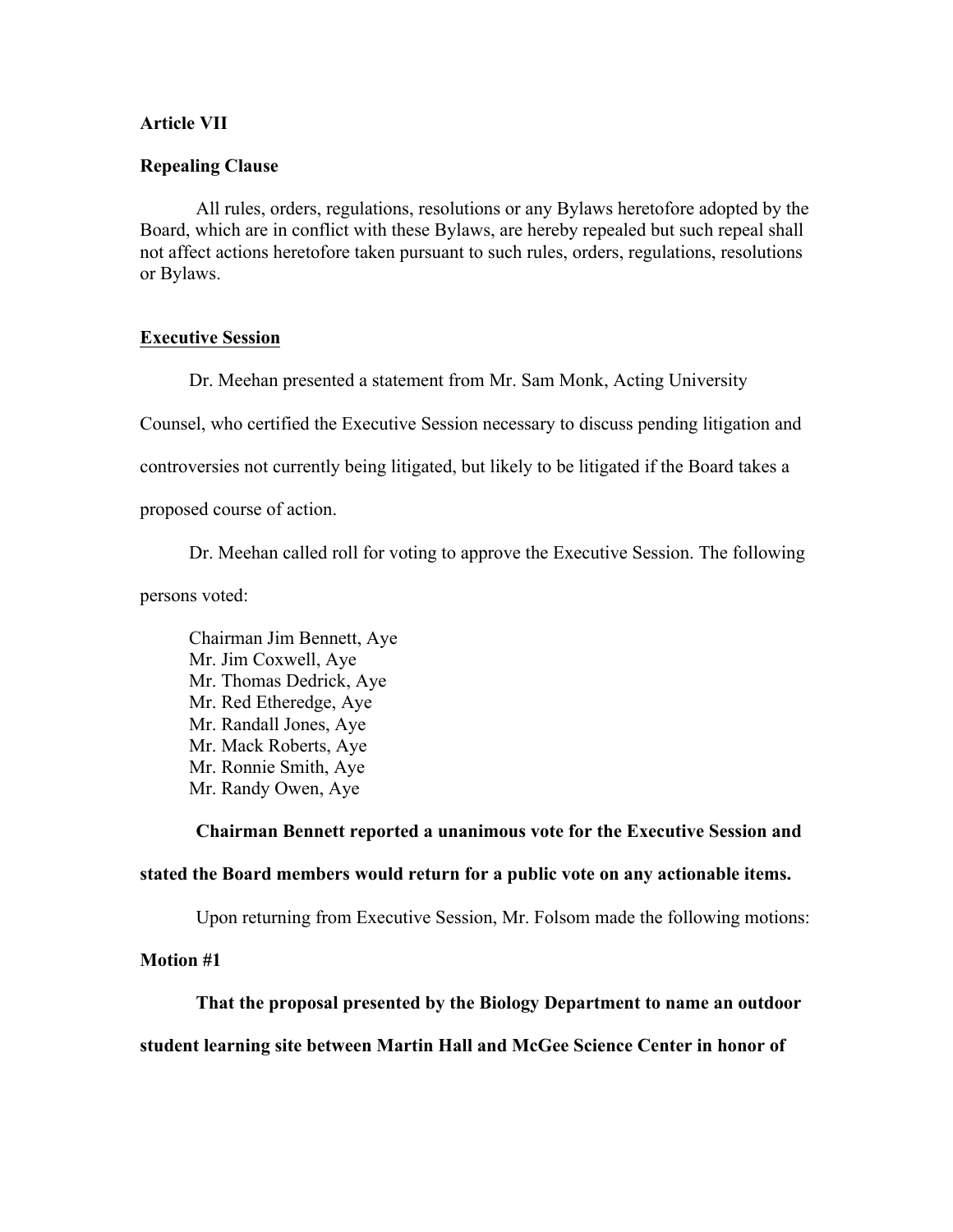#### **Article VII**

#### **Repealing Clause**

All rules, orders, regulations, resolutions or any Bylaws heretofore adopted by the Board, which are in conflict with these Bylaws, are hereby repealed but such repeal shall not affect actions heretofore taken pursuant to such rules, orders, regulations, resolutions or Bylaws.

#### **Executive Session**

Dr. Meehan presented a statement from Mr. Sam Monk, Acting University Counsel, who certified the Executive Session necessary to discuss pending litigation and controversies not currently being litigated, but likely to be litigated if the Board takes a proposed course of action.

Dr. Meehan called roll for voting to approve the Executive Session. The following

persons voted:

Chairman Jim Bennett, Aye Mr. Jim Coxwell, Aye Mr. Thomas Dedrick, Aye Mr. Red Etheredge, Aye Mr. Randall Jones, Aye Mr. Mack Roberts, Aye Mr. Ronnie Smith, Aye Mr. Randy Owen, Aye

**Chairman Bennett reported a unanimous vote for the Executive Session and stated the Board members would return for a public vote on any actionable items.**

Upon returning from Executive Session, Mr. Folsom made the following motions:

**Motion #1**

**That the proposal presented by the Biology Department to name an outdoor student learning site between Martin Hall and McGee Science Center in honor of**